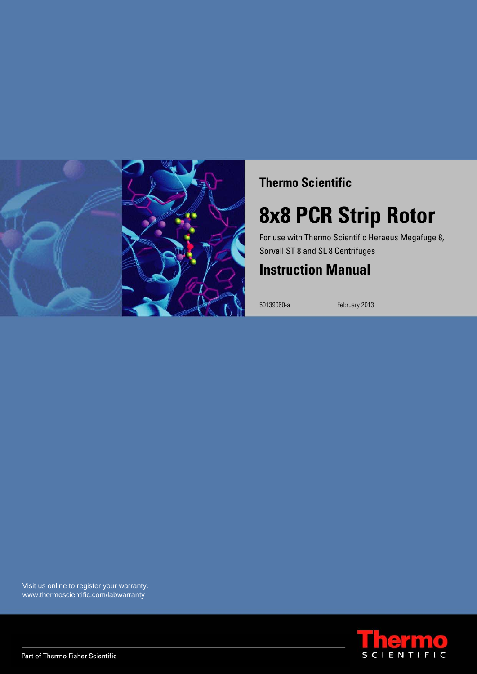

### **Thermo Scientific**

# **8x8 PCR Strip Rotor**

For use with Thermo Scientific Heraeus Megafuge 8, Sorvall ST 8 and SL 8 Centrifuges

## **Instruction Manual**

50139060-a February 2013

Visit us online to register your warranty. www.thermoscientific.com/labwarranty

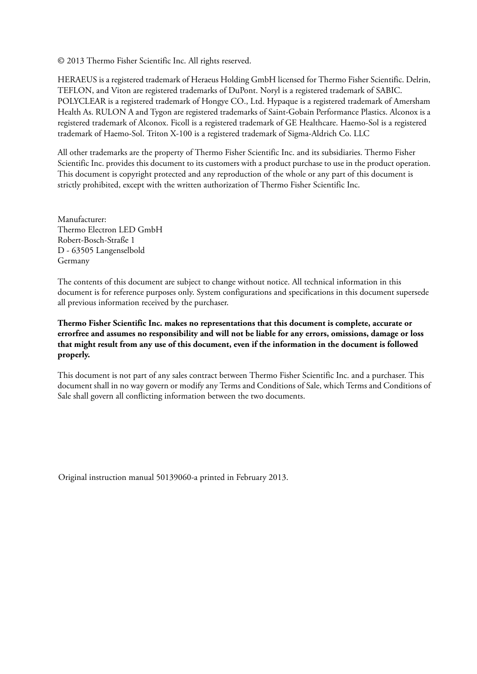© 2013 Thermo Fisher Scientific Inc. All rights reserved.

HERAEUS is a registered trademark of Heraeus Holding GmbH licensed for Thermo Fisher Scientific. Delrin, TEFLON, and Viton are registered trademarks of DuPont. Noryl is a registered trademark of SABIC. POLYCLEAR is a registered trademark of Hongye CO., Ltd. Hypaque is a registered trademark of Amersham Health As. RULON A and Tygon are registered trademarks of Saint-Gobain Performance Plastics. Alconox is a registered trademark of Alconox. Ficoll is a registered trademark of GE Healthcare. Haemo-Sol is a registered trademark of Haemo-Sol. Triton X-100 is a registered trademark of Sigma-Aldrich Co. LLC

All other trademarks are the property of Thermo Fisher Scientific Inc. and its subsidiaries. Thermo Fisher Scientific Inc. provides this document to its customers with a product purchase to use in the product operation. This document is copyright protected and any reproduction of the whole or any part of this document is strictly prohibited, except with the written authorization of Thermo Fisher Scientific Inc.

Manufacturer: Thermo Electron LED GmbH Robert-Bosch-Straße 1 D - 63505 Langenselbold Germany

The contents of this document are subject to change without notice. All technical information in this document is for reference purposes only. System configurations and specifications in this document supersede all previous information received by the purchaser.

**Thermo Fisher Scientific Inc. makes no representations that this document is complete, accurate or errorfree and assumes no responsibility and will not be liable for any errors, omissions, damage or loss that might result from any use of this document, even if the information in the document is followed properly.** 

This document is not part of any sales contract between Thermo Fisher Scientific Inc. and a purchaser. This document shall in no way govern or modify any Terms and Conditions of Sale, which Terms and Conditions of Sale shall govern all conflicting information between the two documents.

Original instruction manual 50139060-a printed in February 2013.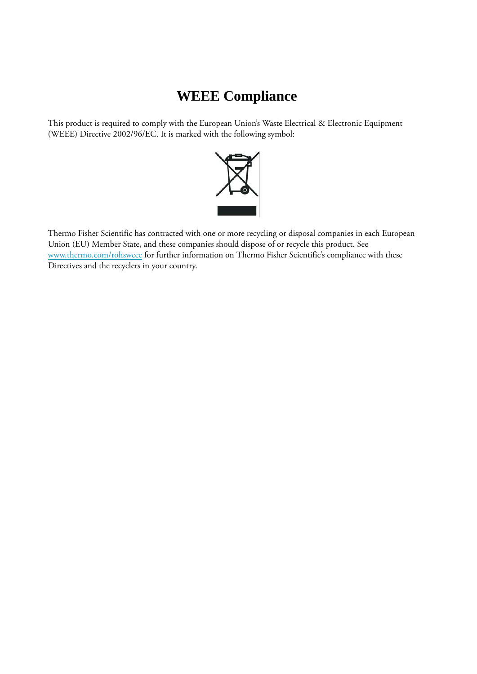## **WEEE Compliance**

This product is required to comply with the European Union's Waste Electrical & Electronic Equipment (WEEE) Directive 2002/96/EC. It is marked with the following symbol:



[Thermo Fisher Scientific has contracted with one or more recycling or disposal companies in each European](http://www.thermo.com/WEEERoHS)  Union (EU) Member State, and these companies should dispose of or recycle this product. See www.thermo.com/rohsweee for further information on Thermo Fisher Scientific's compliance with these Directives and the recyclers in your country.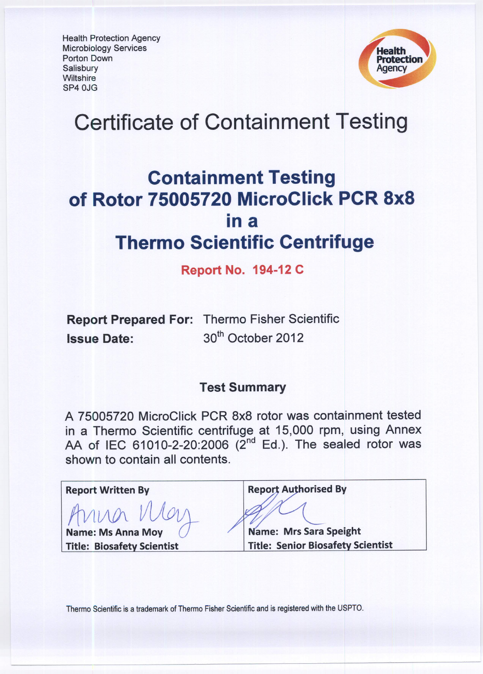**Health Protection Agency Microbiology Services** Porton Down Salisbury **Wiltshire** SP4 OJG



# **Certificate of Containment Testing**

# **Containment Testing** of Rotor 75005720 MicroClick PCR 8x8 in a **Thermo Scientific Centrifuge**

### **Report No. 194-12 C**

**Report Prepared For: Thermo Fisher Scientific** 30<sup>th</sup> October 2012 **Issue Date:** 

### **Test Summary**

A 75005720 MicroClick PCR 8x8 rotor was containment tested in a Thermo Scientific centrifuge at 15,000 rpm, using Annex AA of IEC 61010-2-20:2006 (2<sup>nd</sup> Ed.). The sealed rotor was shown to contain all contents.

| <b>Report Written By</b>          | <b>Report Authorised By</b>              |
|-----------------------------------|------------------------------------------|
| Anna VUC                          |                                          |
| <b>Name: Ms Anna Moy</b>          | Name: Mrs Sara Speight                   |
| <b>Title: Biosafety Scientist</b> | <b>Title: Senior Biosafety Scientist</b> |
|                                   |                                          |

Thermo Scientific is a trademark of Thermo Fisher Scientific and is registered with the USPTO.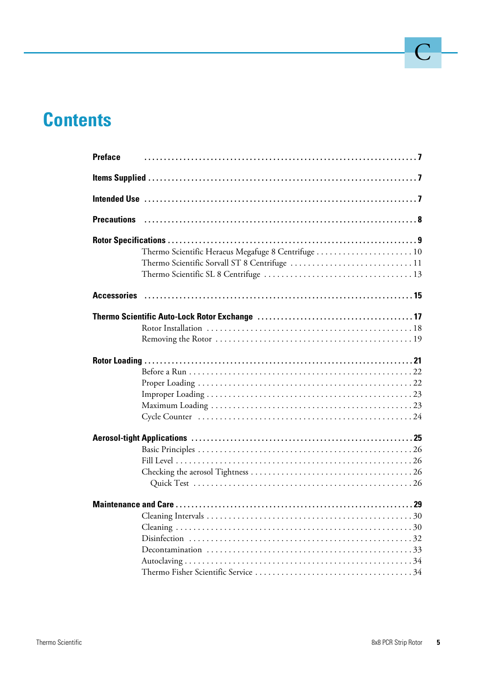# **Contents**

| <b>Preface</b> |                                                     |
|----------------|-----------------------------------------------------|
|                |                                                     |
|                |                                                     |
|                |                                                     |
|                |                                                     |
|                | Thermo Scientific Heraeus Megafuge 8 Centrifuge  10 |
|                |                                                     |
|                |                                                     |
|                |                                                     |
|                |                                                     |
|                |                                                     |
|                |                                                     |
|                |                                                     |
|                |                                                     |
|                |                                                     |
|                |                                                     |
|                |                                                     |
|                |                                                     |
|                |                                                     |
|                |                                                     |
|                |                                                     |
|                |                                                     |
|                |                                                     |
|                |                                                     |
|                |                                                     |
|                |                                                     |
|                |                                                     |
|                |                                                     |
|                |                                                     |
|                |                                                     |
|                |                                                     |
|                |                                                     |

 $\bigcup$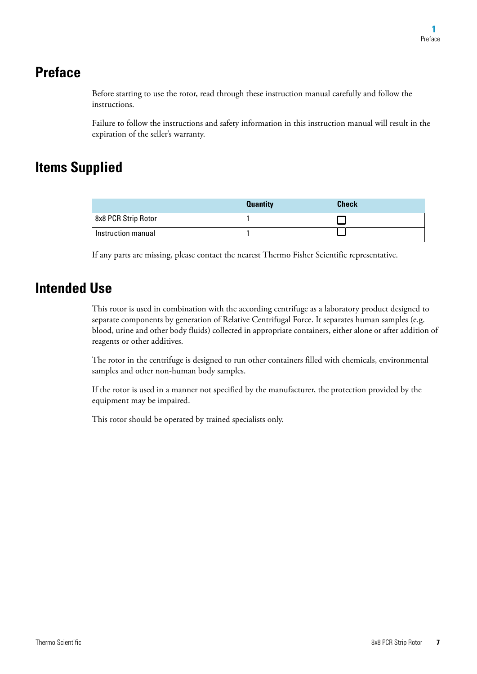### <span id="page-6-0"></span>**Preface**

Before starting to use the rotor, read through these instruction manual carefully and follow the instructions.

Failure to follow the instructions and safety information in this instruction manual will result in the expiration of the seller's warranty.

## <span id="page-6-1"></span>**Items Supplied**

|                     | <b>Quantity</b> | <b>Check</b> |
|---------------------|-----------------|--------------|
| 8x8 PCR Strip Rotor |                 |              |
| Instruction manual  |                 |              |

If any parts are missing, please contact the nearest Thermo Fisher Scientific representative.

### <span id="page-6-2"></span>**Intended Use**

This rotor is used in combination with the according centrifuge as a laboratory product designed to separate components by generation of Relative Centrifugal Force. It separates human samples (e.g. blood, urine and other body fluids) collected in appropriate containers, either alone or after addition of reagents or other additives.

The rotor in the centrifuge is designed to run other containers filled with chemicals, environmental samples and other non-human body samples.

If the rotor is used in a manner not specified by the manufacturer, the protection provided by the equipment may be impaired.

This rotor should be operated by trained specialists only.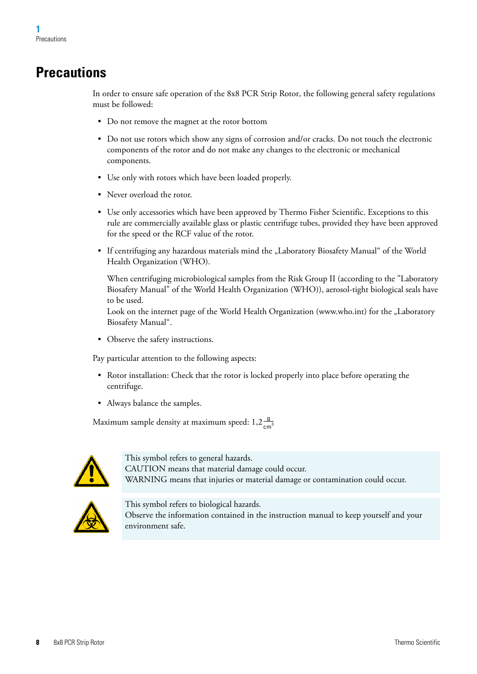## <span id="page-7-0"></span>**Precautions**

In order to ensure safe operation of the 8x8 PCR Strip Rotor, the following general safety regulations must be followed:

- Do not remove the magnet at the rotor bottom
- Do not use rotors which show any signs of corrosion and/or cracks. Do not touch the electronic components of the rotor and do not make any changes to the electronic or mechanical components.
- Use only with rotors which have been loaded properly.
- Never overload the rotor.
- Use only accessories which have been approved by Thermo Fisher Scientific. Exceptions to this rule are commercially available glass or plastic centrifuge tubes, provided they have been approved for the speed or the RCF value of the rotor.
- If centrifuging any hazardous materials mind the "Laboratory Biosafety Manual" of the World Health Organization (WHO).

[When centrifuging microbiological samples from the Risk Group II \(according to the "Laboratory](http://www.who.int)  Biosafety Manual" of the World Health Organization (WHO)), aerosol-tight biological seals have to be used.

Look on the internet page of the World Health Organization (www.who.int) for the "Laboratory Biosafety Manual".

• Observe the safety instructions.

Pay particular attention to the following aspects:

- Rotor installation: Check that the rotor is locked properly into place before operating the centrifuge.
- Always balance the samples.

Maximum sample density at maximum speed:  $1,2\frac{g}{cm^3}$ 



This symbol refers to general hazards. CAUTION means that material damage could occur. WARNING means that injuries or material damage or contamination could occur.



This symbol refers to biological hazards. Observe the information contained in the instruction manual to keep yourself and your environment safe.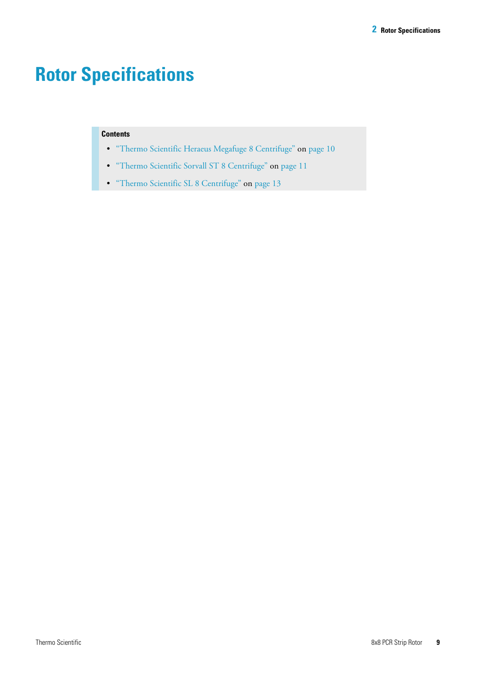# <span id="page-8-0"></span>**Rotor Specifications**

#### **Contents**

- ["Thermo Scientific Heraeus Megafuge 8 Centrifuge" on page 10](#page-9-0)
- ["Thermo Scientific Sorvall ST 8 Centrifuge" on page 11](#page-10-0)
- ["Thermo Scientific SL 8 Centrifuge" on page 13](#page-12-0)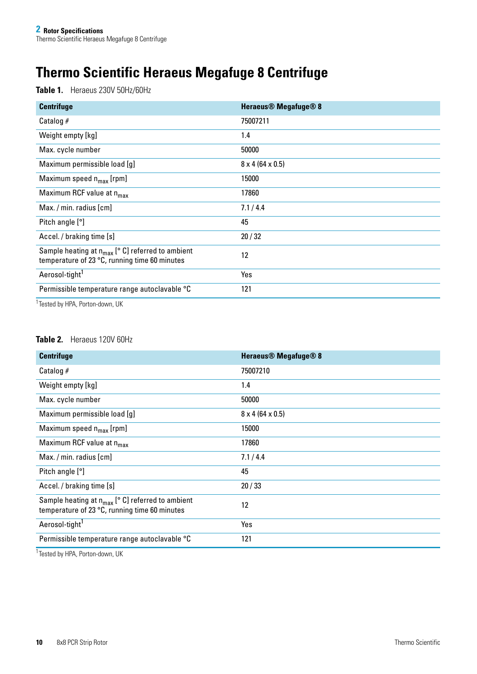# <span id="page-9-0"></span>**Thermo Scientific Heraeus Megafuge 8 Centrifuge**

**Table 1.** Heraeus 230V 50Hz/60Hz

| <b>Centrifuge</b>                                                                                             | <b>Heraeus<sup>®</sup></b> Megafuge <sup>®</sup> 8 |
|---------------------------------------------------------------------------------------------------------------|----------------------------------------------------|
| Catalog $#$                                                                                                   | 75007211                                           |
| Weight empty [kg]                                                                                             | 1.4                                                |
| Max. cycle number                                                                                             | 50000                                              |
| Maximum permissible load [g]                                                                                  | $8 \times 4 (64 \times 0.5)$                       |
| Maximum speed $n_{max}$ [rpm]                                                                                 | 15000                                              |
| Maximum RCF value at n <sub>max</sub>                                                                         | 17860                                              |
| $Max. / min.$ radius $[cm]$                                                                                   | 7.1/4.4                                            |
| Pitch angle [°]                                                                                               | 45                                                 |
| Accel. / braking time [s]                                                                                     | 20/32                                              |
| Sample heating at $n_{max}$ [ $\circ$ C] referred to ambient<br>temperature of 23 °C, running time 60 minutes | 12                                                 |
| Aerosol-tight <sup>1</sup>                                                                                    | Yes                                                |
| Permissible temperature range autoclavable °C                                                                 | 121                                                |

<sup>1</sup> Tested by HPA, Porton-down, UK

#### **Table 2.** Heraeus 120V 60Hz

| <b>Centrifuge</b>                                                                                      | <b>Heraeus<sup>®</sup></b> Megafuge <sup>®</sup> 8 |
|--------------------------------------------------------------------------------------------------------|----------------------------------------------------|
| Catalog $#$                                                                                            | 75007210                                           |
| Weight empty [kg]                                                                                      | 1.4                                                |
| Max. cycle number                                                                                      | 50000                                              |
| Maximum permissible load [g]                                                                           | $8 \times 4 (64 \times 0.5)$                       |
| Maximum speed $n_{max}$ [rpm]                                                                          | 15000                                              |
| Maximum RCF value at n <sub>max</sub>                                                                  | 17860                                              |
| Max. / min. radius [cm]                                                                                | 7.1/4.4                                            |
| Pitch angle [°]                                                                                        | 45                                                 |
| Accel. / braking time [s]                                                                              | 20/33                                              |
| Sample heating at $n_{max}$ [° C] referred to ambient<br>temperature of 23 °C, running time 60 minutes | 12                                                 |
| Aerosol-tight <sup>1</sup>                                                                             | Yes                                                |
| Permissible temperature range autoclavable °C                                                          | 121                                                |

1Tested by HPA, Porton-down, UK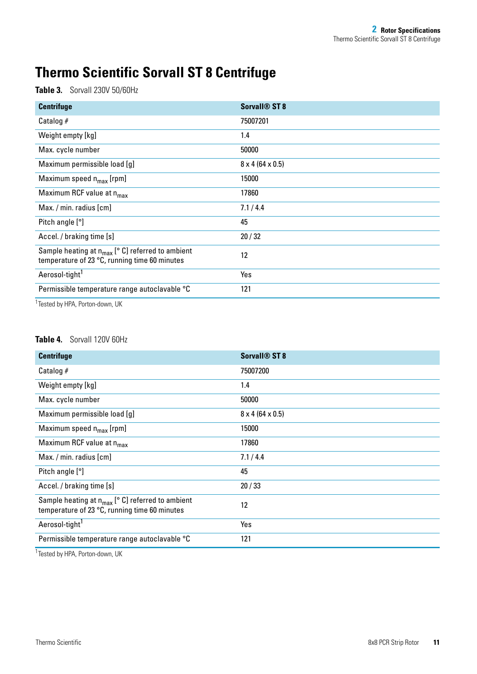## <span id="page-10-0"></span>**Thermo Scientific Sorvall ST 8 Centrifuge**

**Table 3.** Sorvall 230V 50/60Hz

| <b>Centrifuge</b>                                                                                               | Sorvall <sup>®</sup> ST 8    |
|-----------------------------------------------------------------------------------------------------------------|------------------------------|
| Catalog $#$                                                                                                     | 75007201                     |
| Weight empty [kg]                                                                                               | 1.4                          |
| Max. cycle number                                                                                               | 50000                        |
| Maximum permissible load [g]                                                                                    | $8 \times 4 (64 \times 0.5)$ |
| Maximum speed $n_{max}$ [rpm]                                                                                   | 15000                        |
| Maximum RCF value at n <sub>max</sub>                                                                           | 17860                        |
| Max. / min. radius [cm]                                                                                         | 7.1/4.4                      |
| Pitch angle [°]                                                                                                 | 45                           |
| Accel. / braking time [s]                                                                                       | 20/32                        |
| Sample heating at $n_{max}$ [ $\degree$ C] referred to ambient<br>temperature of 23 °C, running time 60 minutes | 12                           |
| Aerosol-tight <sup>1</sup>                                                                                      | Yes                          |
| Permissible temperature range autoclavable °C                                                                   | 121                          |

<sup>1</sup> Tested by HPA, Porton-down, UK

#### **Table 4.** Sorvall 120V 60Hz

| <b>Centrifuge</b>                                                                                      | <b>Sorvall<sup>®</sup> ST 8</b> |
|--------------------------------------------------------------------------------------------------------|---------------------------------|
| Catalog $#$                                                                                            | 75007200                        |
| Weight empty [kg]                                                                                      | 1.4                             |
| Max. cycle number                                                                                      | 50000                           |
| Maximum permissible load [g]                                                                           | $8 \times 4 (64 \times 0.5)$    |
| Maximum speed $n_{max}$ [rpm]                                                                          | 15000                           |
| Maximum RCF value at n <sub>max</sub>                                                                  | 17860                           |
| Max. / min. radius [cm]                                                                                | 7.1/4.4                         |
| Pitch angle [°]                                                                                        | 45                              |
| Accel. / braking time [s]                                                                              | 20/33                           |
| Sample heating at $n_{max}$ [° C] referred to ambient<br>temperature of 23 °C, running time 60 minutes | 12                              |
| Aerosol-tight <sup>1</sup>                                                                             | Yes                             |
| Permissible temperature range autoclavable °C                                                          | 121                             |

<sup>1</sup> Tested by HPA, Porton-down, UK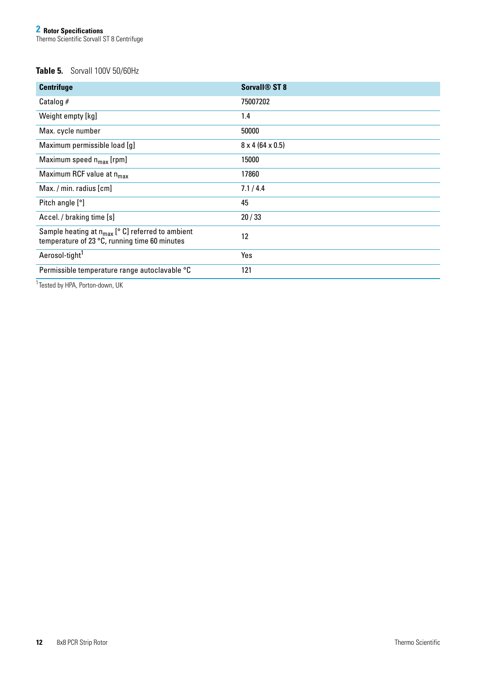#### **Table 5.** Sorvall 100V 50/60Hz

| <b>Centrifuge</b>                                                                                                | <b>Sorvall<sup>®</sup> ST 8</b> |
|------------------------------------------------------------------------------------------------------------------|---------------------------------|
| Catalog $#$                                                                                                      | 75007202                        |
| Weight empty [kg]                                                                                                | 1.4                             |
| Max. cycle number                                                                                                | 50000                           |
| Maximum permissible load [g]                                                                                     | $8 \times 4 (64 \times 0.5)$    |
| Maximum speed $n_{max}$ [rpm]                                                                                    | 15000                           |
| Maximum RCF value at n <sub>max</sub>                                                                            | 17860                           |
| Max. / min. radius [cm]                                                                                          | 7.1/4.4                         |
| Pitch angle [°]                                                                                                  | 45                              |
| Accel. / braking time [s]                                                                                        | 20/33                           |
| Sample heating at $n_{max}$ [ $^{\circ}$ C] referred to ambient<br>temperature of 23 °C, running time 60 minutes | 12                              |
| Aerosol-tight <sup>1</sup>                                                                                       | Yes                             |
| Permissible temperature range autoclavable °C                                                                    | 121                             |

<sup>1</sup>Tested by HPA, Porton-down, UK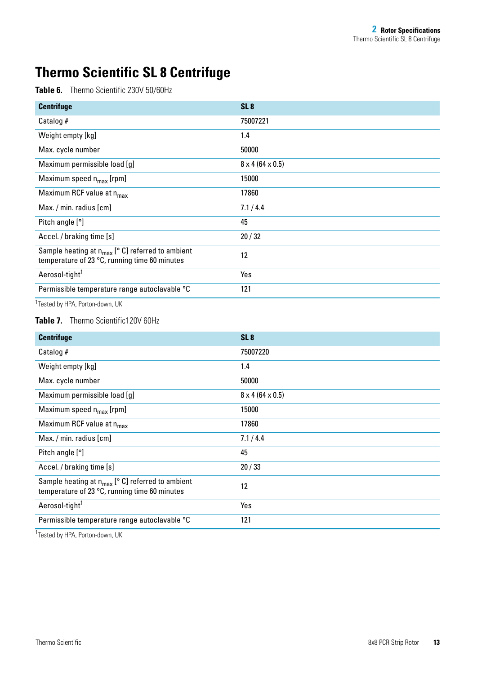## <span id="page-12-0"></span>**Thermo Scientific SL 8 Centrifuge**

**Table 6.** Thermo Scientific 230V 50/60Hz

| <b>Centrifuge</b>                                                                                               | SL <sub>8</sub>              |
|-----------------------------------------------------------------------------------------------------------------|------------------------------|
| Catalog $#$                                                                                                     | 75007221                     |
| Weight empty [kg]                                                                                               | 1.4                          |
| Max. cycle number                                                                                               | 50000                        |
| Maximum permissible load [g]                                                                                    | $8 \times 4 (64 \times 0.5)$ |
| Maximum speed $n_{max}$ [rpm]                                                                                   | 15000                        |
| Maximum RCF value at n <sub>max</sub>                                                                           | 17860                        |
| Max. / min. radius [cm]                                                                                         | 7.1/4.4                      |
| Pitch angle [°]                                                                                                 | 45                           |
| Accel. / braking time [s]                                                                                       | 20/32                        |
| Sample heating at $n_{max}$ [ $\degree$ C] referred to ambient<br>temperature of 23 °C, running time 60 minutes | 12                           |
| Aerosol-tight <sup>1</sup>                                                                                      | Yes                          |
| Permissible temperature range autoclavable °C                                                                   | 121                          |

<sup>1</sup> Tested by HPA, Porton-down, UK

#### Table 7. Thermo Scientific120V 60Hz

| <b>Centrifuge</b>                                                                                      | SL <sub>8</sub>              |
|--------------------------------------------------------------------------------------------------------|------------------------------|
| Catalog $#$                                                                                            | 75007220                     |
| Weight empty [kg]                                                                                      | 1.4                          |
| Max. cycle number                                                                                      | 50000                        |
| Maximum permissible load [g]                                                                           | $8 \times 4 (64 \times 0.5)$ |
| Maximum speed $n_{max}$ [rpm]                                                                          | 15000                        |
| Maximum RCF value at n <sub>max</sub>                                                                  | 17860                        |
| Max. / min. radius [cm]                                                                                | 7.1/4.4                      |
| Pitch angle [°]                                                                                        | 45                           |
| Accel. / braking time [s]                                                                              | 20/33                        |
| Sample heating at $n_{max}$ [° C] referred to ambient<br>temperature of 23 °C, running time 60 minutes | 12                           |
| Aerosol-tight <sup>1</sup>                                                                             | Yes                          |
| Permissible temperature range autoclavable °C                                                          | 121                          |

<sup>1</sup> Tested by HPA, Porton-down, UK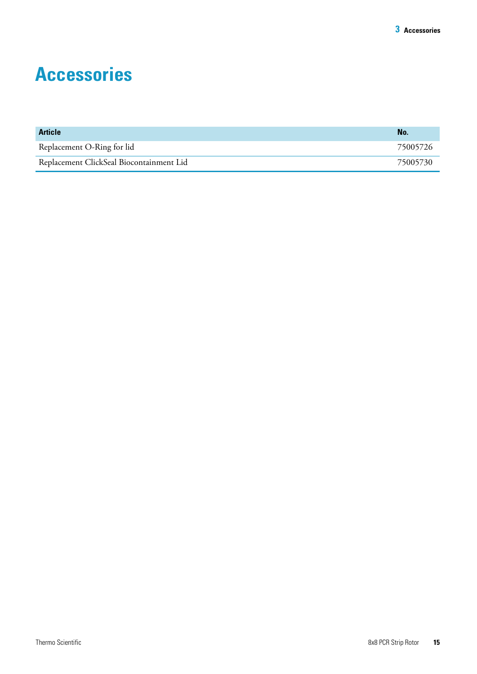# <span id="page-13-1"></span><span id="page-13-0"></span>**Accessories**

| <b>Article</b>                           | No.      |
|------------------------------------------|----------|
| Replacement O-Ring for lid               | 75005726 |
| Replacement ClickSeal Biocontainment Lid | 75005730 |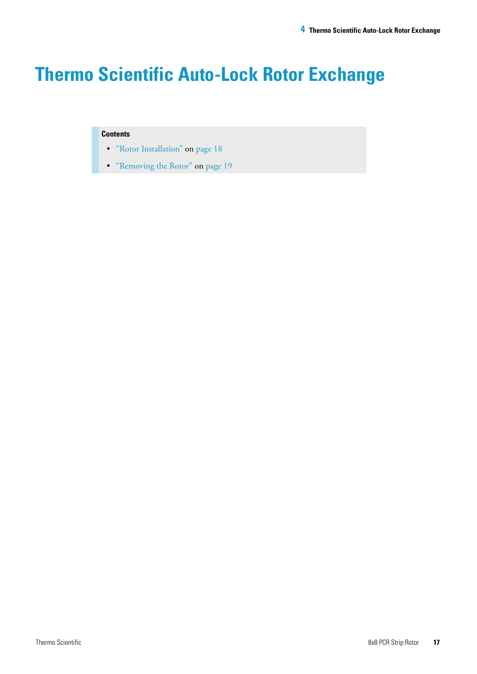# <span id="page-14-0"></span>**Thermo Scientific Auto-Lock Rotor Exchange**

#### **Contents**

- ["Rotor Installation" on page 18](#page-15-0)
- ["Removing the Rotor" on page 19](#page-16-0)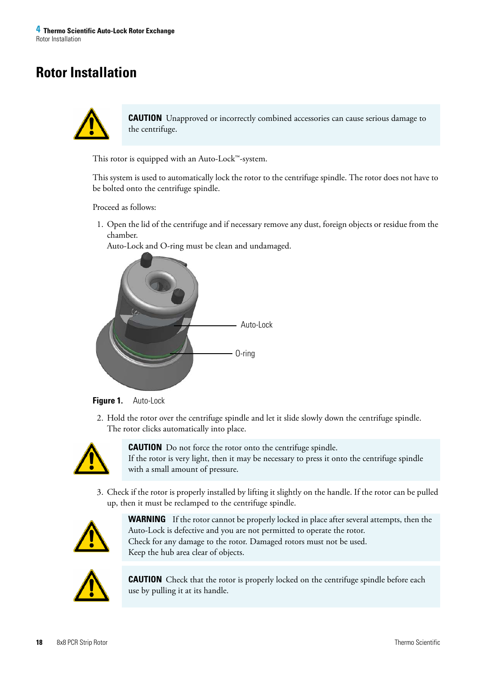## <span id="page-15-0"></span>**Rotor Installation**



**CAUTION** Unapproved or incorrectly combined accessories can cause serious damage to the centrifuge.

This rotor is equipped with an Auto-Lock™-system.

This system is used to automatically lock the rotor to the centrifuge spindle. The rotor does not have to be bolted onto the centrifuge spindle.

Proceed as follows:

1. Open the lid of the centrifuge and if necessary remove any dust, foreign objects or residue from the chamber.

Auto-Lock and O-ring must be clean and undamaged.





2. Hold the rotor over the centrifuge spindle and let it slide slowly down the centrifuge spindle. The rotor clicks automatically into place.



**CAUTION** Do not force the rotor onto the centrifuge spindle. If the rotor is very light, then it may be necessary to press it onto the centrifuge spindle with a small amount of pressure.

3. Check if the rotor is properly installed by lifting it slightly on the handle. If the rotor can be pulled up, then it must be reclamped to the centrifuge spindle.



**WARNING** If the rotor cannot be properly locked in place after several attempts, then the Auto-Lock is defective and you are not permitted to operate the rotor. Check for any damage to the rotor. Damaged rotors must not be used. Keep the hub area clear of objects.



**CAUTION** Check that the rotor is properly locked on the centrifuge spindle before each use by pulling it at its handle.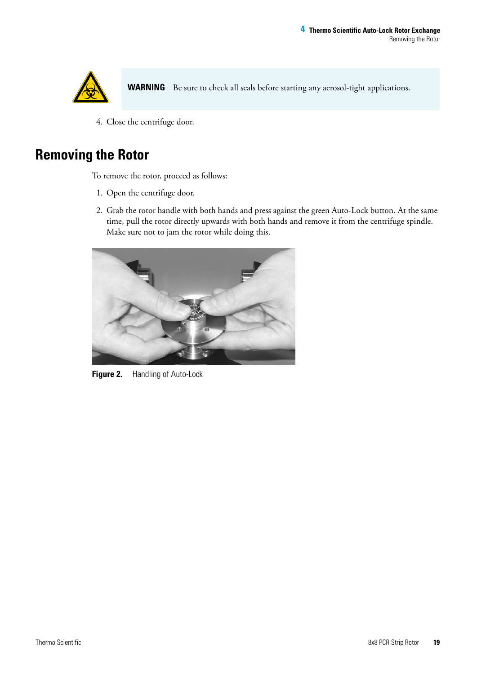

WARNING Be sure to check all seals before starting any aerosol-tight applications.

4. Close the centrifuge door.

## <span id="page-16-0"></span>**Removing the Rotor**

To remove the rotor, proceed as follows:

- 1. Open the centrifuge door.
- 2. Grab the rotor handle with both hands and press against the green Auto-Lock button. At the same time, pull the rotor directly upwards with both hands and remove it from the centrifuge spindle. Make sure not to jam the rotor while doing this.



**Figure 2.** Handling of Auto-Lock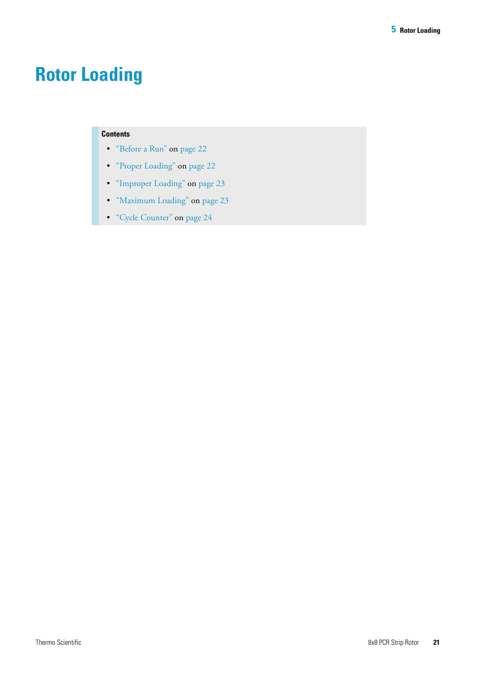# <span id="page-17-0"></span>**Rotor Loading**

#### **Contents**

- ["Before a Run" on page 22](#page-18-0)
- ["Proper Loading" on page 22](#page-18-1)
- ["Improper Loading" on page 23](#page-19-0)
- ["Maximum Loading" on page 23](#page-19-1)
- ["Cycle Counter" on page 24](#page-20-0)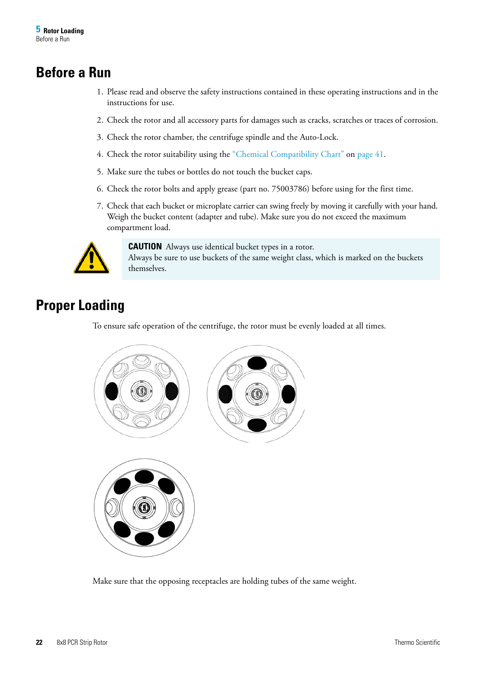### <span id="page-18-0"></span>**Before a Run**

- 1. Please read and observe the safety instructions contained in these operating instructions and in the instructions for use.
- 2. Check the rotor and all accessory parts for damages such as cracks, scratches or traces of corrosion.
- 3. Check the rotor chamber, the centrifuge spindle and the Auto-Lock.
- 4. Check the rotor suitability using the ["Chemical Compatibility Chart" on page 41](#page-35-1).
- 5. Make sure the tubes or bottles do not touch the bucket caps.
- 6. Check the rotor bolts and apply grease (part no. 75003786) before using for the first time.
- 7. Check that each bucket or microplate carrier can swing freely by moving it carefully with your hand. Weigh the bucket content (adapter and tube). Make sure you do not exceed the maximum compartment load.



**CAUTION** Always use identical bucket types in a rotor. Always be sure to use buckets of the same weight class, which is marked on the buckets themselves.

## <span id="page-18-1"></span>**Proper Loading**

To ensure safe operation of the centrifuge, the rotor must be evenly loaded at all times.



Make sure that the opposing receptacles are holding tubes of the same weight.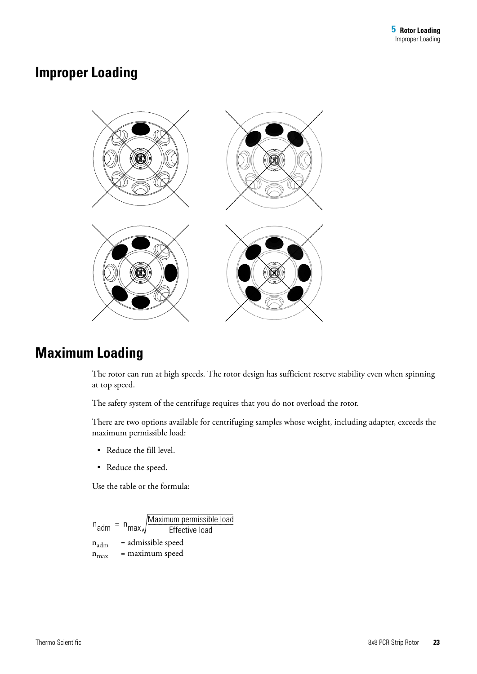### <span id="page-19-0"></span>**Improper Loading**



## <span id="page-19-1"></span>**Maximum Loading**

The rotor can run at high speeds. The rotor design has sufficient reserve stability even when spinning at top speed.

The safety system of the centrifuge requires that you do not overload the rotor.

There are two options available for centrifuging samples whose weight, including adapter, exceeds the maximum permissible load:

- Reduce the fill level.
- Reduce the speed.

Use the table or the formula:

 $n_{\text{adm}}$  = admissible speed  $n_{max}$  = maximum speed  $n_{\text{adm}} = n$  $=$  n<sub>max</sub> $\sqrt{\frac{1000 \times 10000 \times 10000 \times 10000 \times 10000 \times 10000 \times 10000 \times 10000 \times 10000 \times 10000 \times 10000 \times 10000 \times 10000 \times 10000 \times 10000 \times 10000 \times 10000 \times 10000 \times 10000 \times 10000 \times 10000 \times 10000 \times 10000 \times 10000 \times 10000 \times 10000 \$ Maximum permissible load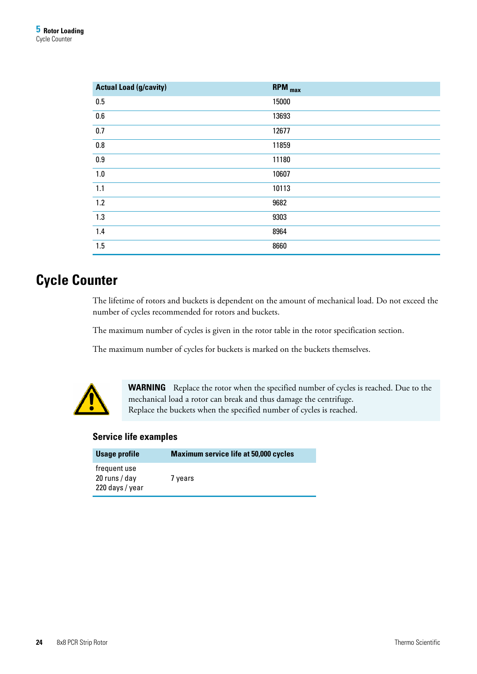| <b>Actual Load (g/cavity)</b> | <b>RPM</b> <sub>max</sub> |
|-------------------------------|---------------------------|
| 0.5                           | 15000                     |
| 0.6                           | 13693                     |
| 0.7                           | 12677                     |
| $0.8\,$                       | 11859                     |
| 0.9                           | 11180                     |
| 1.0                           | 10607                     |
| 1.1                           | 10113                     |
| 1.2                           | 9682                      |
| 1.3                           | 9303                      |
| 1.4                           | 8964                      |
| 1.5                           | 8660                      |

### <span id="page-20-0"></span>**Cycle Counter**

The lifetime of rotors and buckets is dependent on the amount of mechanical load. Do not exceed the number of cycles recommended for rotors and buckets.

The maximum number of cycles is given in the rotor table in the rotor specification section.

The maximum number of cycles for buckets is marked on the buckets themselves.



**WARNING** Replace the rotor when the specified number of cycles is reached. Due to the mechanical load a rotor can break and thus damage the centrifuge. Replace the buckets when the specified number of cycles is reached.

#### **Service life examples**

| Usage profile                                    | <b>Maximum service life at 50,000 cycles</b> |
|--------------------------------------------------|----------------------------------------------|
| frequent use<br>20 runs / day<br>220 days / year | 7 years                                      |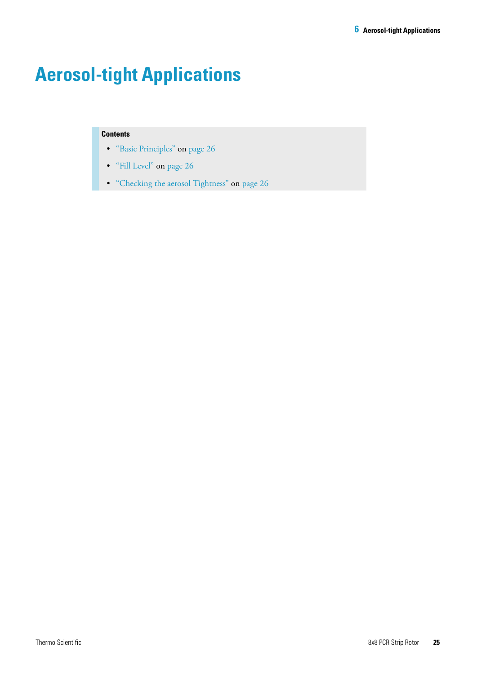# <span id="page-21-0"></span>**Aerosol-tight Applications**

#### **Contents**

- ["Basic Principles" on page 26](#page-22-0)
- ["Fill Level" on page 26](#page-22-1)
- ["Checking the aerosol Tightness" on page 26](#page-22-2)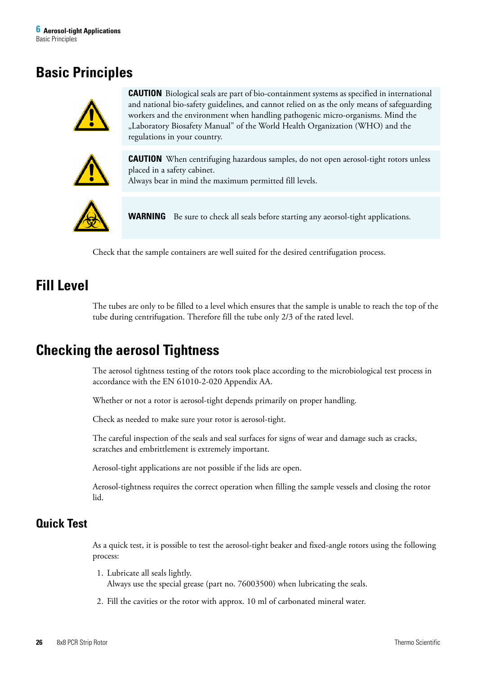### <span id="page-22-0"></span>**Basic Principles**



**CAUTION** Biological seals are part of bio-containment systems as specified in international and national bio-safety guidelines, and cannot relied on as the only means of safeguarding workers and the environment when handling pathogenic micro-organisms. Mind the "Laboratory Biosafety Manual" of the World Health Organization (WHO) and the regulations in your country.



**CAUTION** When centrifuging hazardous samples, do not open aerosol-tight rotors unless placed in a safety cabinet.

Always bear in mind the maximum permitted fill levels.



**WARNING** Be sure to check all seals before starting any aeorsol-tight applications.

Check that the sample containers are well suited for the desired centrifugation process.

### <span id="page-22-1"></span>**Fill Level**

The tubes are only to be filled to a level which ensures that the sample is unable to reach the top of the tube during centrifugation. Therefore fill the tube only 2/3 of the rated level.

### <span id="page-22-2"></span>**Checking the aerosol Tightness**

The aerosol tightness testing of the rotors took place according to the microbiological test process in accordance with the EN 61010-2-020 Appendix AA.

Whether or not a rotor is aerosol-tight depends primarily on proper handling.

Check as needed to make sure your rotor is aerosol-tight.

The careful inspection of the seals and seal surfaces for signs of wear and damage such as cracks, scratches and embrittlement is extremely important.

Aerosol-tight applications are not possible if the lids are open.

Aerosol-tightness requires the correct operation when filling the sample vessels and closing the rotor lid.

### <span id="page-22-3"></span>**Quick Test**

As a quick test, it is possible to test the aerosol-tight beaker and fixed-angle rotors using the following process:

- 1. Lubricate all seals lightly. Always use the special grease (part no. 76003500) when lubricating the seals.
- 2. Fill the cavities or the rotor with approx. 10 ml of carbonated mineral water.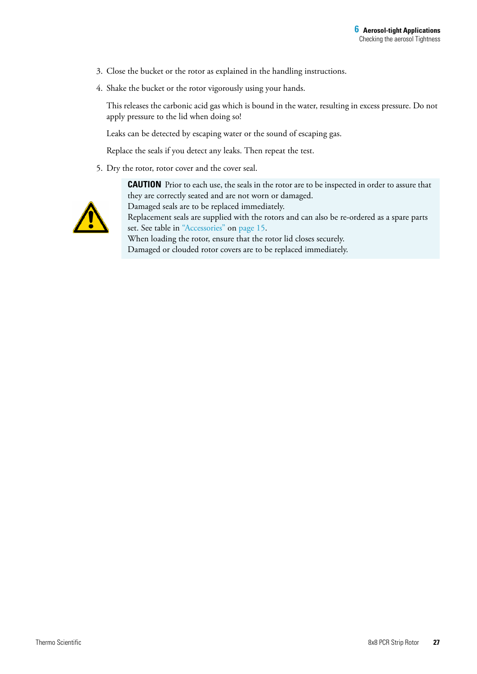- 3. Close the bucket or the rotor as explained in the handling instructions.
- 4. Shake the bucket or the rotor vigorously using your hands.

This releases the carbonic acid gas which is bound in the water, resulting in excess pressure. Do not apply pressure to the lid when doing so!

Leaks can be detected by escaping water or the sound of escaping gas.

Replace the seals if you detect any leaks. Then repeat the test.

5. Dry the rotor, rotor cover and the cover seal.



**CAUTION** Prior to each use, the seals in the rotor are to be inspected in order to assure that they are correctly seated and are not worn or damaged. Damaged seals are to be replaced immediately. Replacement seals are supplied with the rotors and can also be re-ordered as a spare parts set. See table in ["Accessories" on page 15](#page-13-1).

When loading the rotor, ensure that the rotor lid closes securely. Damaged or clouded rotor covers are to be replaced immediately.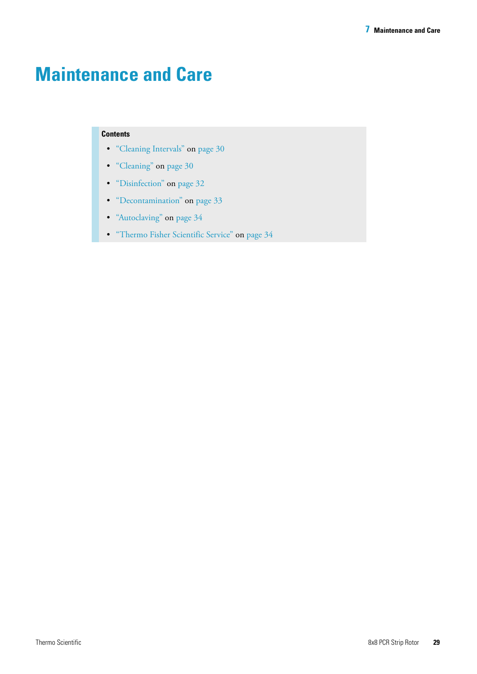# <span id="page-24-0"></span>**Maintenance and Care**

#### **Contents**

- ["Cleaning Intervals" on page 30](#page-25-0)
- ["Cleaning" on page 30](#page-25-1)
- ["Disinfection" on page 32](#page-27-0)
- ["Decontamination" on page 33](#page-28-0)
- ["Autoclaving" on page 34](#page-29-0)
- ["Thermo Fisher Scientific Service" on page 34](#page-29-1)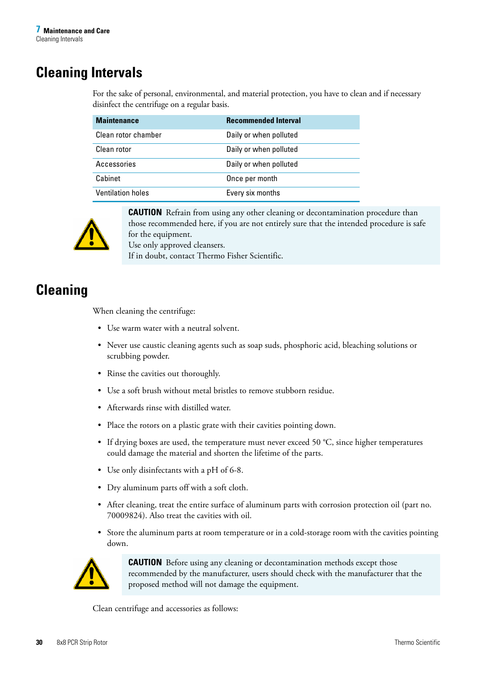## <span id="page-25-0"></span>**Cleaning Intervals**

For the sake of personal, environmental, and material protection, you have to clean and if necessary disinfect the centrifuge on a regular basis.

| <b>Maintenance</b>       | <b>Recommended Interval</b> |
|--------------------------|-----------------------------|
| Clean rotor chamber      | Daily or when polluted      |
| Clean rotor              | Daily or when polluted      |
| Accessories              | Daily or when polluted      |
| Cabinet                  | Once per month              |
| <b>Ventilation holes</b> | Every six months            |



**CAUTION** Refrain from using any other cleaning or decontamination procedure than those recommended here, if you are not entirely sure that the intended procedure is safe for the equipment.

Use only approved cleansers.

If in doubt, contact Thermo Fisher Scientific.

## <span id="page-25-1"></span>**Cleaning**

When cleaning the centrifuge:

- Use warm water with a neutral solvent.
- Never use caustic cleaning agents such as soap suds, phosphoric acid, bleaching solutions or scrubbing powder.
- Rinse the cavities out thoroughly.
- Use a soft brush without metal bristles to remove stubborn residue.
- Afterwards rinse with distilled water.
- Place the rotors on a plastic grate with their cavities pointing down.
- If drying boxes are used, the temperature must never exceed 50 °C, since higher temperatures could damage the material and shorten the lifetime of the parts.
- Use only disinfectants with a pH of 6-8.
- Dry aluminum parts off with a soft cloth.
- After cleaning, treat the entire surface of aluminum parts with corrosion protection oil (part no. 70009824). Also treat the cavities with oil.
- Store the aluminum parts at room temperature or in a cold-storage room with the cavities pointing down.



**CAUTION** Before using any cleaning or decontamination methods except those recommended by the manufacturer, users should check with the manufacturer that the proposed method will not damage the equipment.

Clean centrifuge and accessories as follows: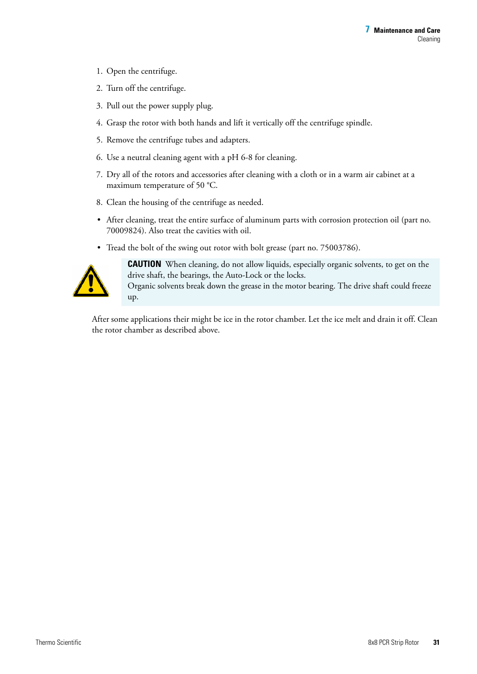- 1. Open the centrifuge.
- 2. Turn off the centrifuge.
- 3. Pull out the power supply plug.
- 4. Grasp the rotor with both hands and lift it vertically off the centrifuge spindle.
- 5. Remove the centrifuge tubes and adapters.
- 6. Use a neutral cleaning agent with a pH 6-8 for cleaning.
- 7. Dry all of the rotors and accessories after cleaning with a cloth or in a warm air cabinet at a maximum temperature of 50 °C.
- 8. Clean the housing of the centrifuge as needed.
- After cleaning, treat the entire surface of aluminum parts with corrosion protection oil (part no. 70009824). Also treat the cavities with oil.
- Tread the bolt of the swing out rotor with bolt grease (part no. 75003786).



**CAUTION** When cleaning, do not allow liquids, especially organic solvents, to get on the drive shaft, the bearings, the Auto-Lock or the locks. Organic solvents break down the grease in the motor bearing. The drive shaft could freeze up.

After some applications their might be ice in the rotor chamber. Let the ice melt and drain it off. Clean the rotor chamber as described above.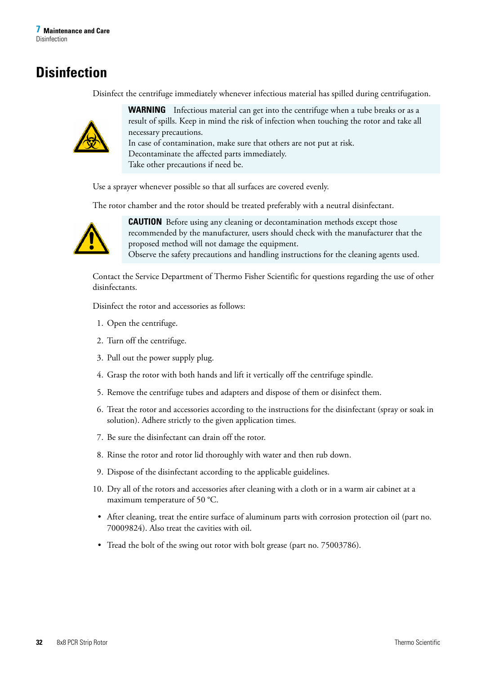## <span id="page-27-0"></span>**Disinfection**

Disinfect the centrifuge immediately whenever infectious material has spilled during centrifugation.



**WARNING** Infectious material can get into the centrifuge when a tube breaks or as a result of spills. Keep in mind the risk of infection when touching the rotor and take all necessary precautions.

In case of contamination, make sure that others are not put at risk. Decontaminate the affected parts immediately. Take other precautions if need be.

Use a sprayer whenever possible so that all surfaces are covered evenly.

The rotor chamber and the rotor should be treated preferably with a neutral disinfectant.



**CAUTION** Before using any cleaning or decontamination methods except those recommended by the manufacturer, users should check with the manufacturer that the proposed method will not damage the equipment. Observe the safety precautions and handling instructions for the cleaning agents used.

Contact the Service Department of Thermo Fisher Scientific for questions regarding the use of other disinfectants.

Disinfect the rotor and accessories as follows:

- 1. Open the centrifuge.
- 2. Turn off the centrifuge.
- 3. Pull out the power supply plug.
- 4. Grasp the rotor with both hands and lift it vertically off the centrifuge spindle.
- 5. Remove the centrifuge tubes and adapters and dispose of them or disinfect them.
- 6. Treat the rotor and accessories according to the instructions for the disinfectant (spray or soak in solution). Adhere strictly to the given application times.
- 7. Be sure the disinfectant can drain off the rotor.
- 8. Rinse the rotor and rotor lid thoroughly with water and then rub down.
- 9. Dispose of the disinfectant according to the applicable guidelines.
- 10. Dry all of the rotors and accessories after cleaning with a cloth or in a warm air cabinet at a maximum temperature of 50 °C.
- After cleaning, treat the entire surface of aluminum parts with corrosion protection oil (part no. 70009824). Also treat the cavities with oil.
- Tread the bolt of the swing out rotor with bolt grease (part no. 75003786).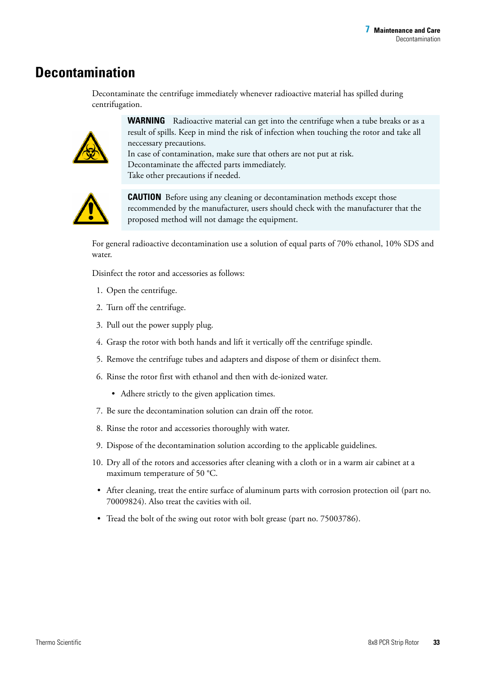### <span id="page-28-0"></span>**Decontamination**

Decontaminate the centrifuge immediately whenever radioactive material has spilled during centrifugation.



**WARNING** Radioactive material can get into the centrifuge when a tube breaks or as a result of spills. Keep in mind the risk of infection when touching the rotor and take all neccessary precautions.

In case of contamination, make sure that others are not put at risk. Decontaminate the affected parts immediately. Take other precautions if needed.



**CAUTION** Before using any cleaning or decontamination methods except those recommended by the manufacturer, users should check with the manufacturer that the proposed method will not damage the equipment.

For general radioactive decontamination use a solution of equal parts of 70% ethanol, 10% SDS and water.

Disinfect the rotor and accessories as follows:

- 1. Open the centrifuge.
- 2. Turn off the centrifuge.
- 3. Pull out the power supply plug.
- 4. Grasp the rotor with both hands and lift it vertically off the centrifuge spindle.
- 5. Remove the centrifuge tubes and adapters and dispose of them or disinfect them.
- 6. Rinse the rotor first with ethanol and then with de-ionized water.
	- Adhere strictly to the given application times.
- 7. Be sure the decontamination solution can drain off the rotor.
- 8. Rinse the rotor and accessories thoroughly with water.
- 9. Dispose of the decontamination solution according to the applicable guidelines.
- 10. Dry all of the rotors and accessories after cleaning with a cloth or in a warm air cabinet at a maximum temperature of 50 °C.
- After cleaning, treat the entire surface of aluminum parts with corrosion protection oil (part no. 70009824). Also treat the cavities with oil.
- Tread the bolt of the swing out rotor with bolt grease (part no. 75003786).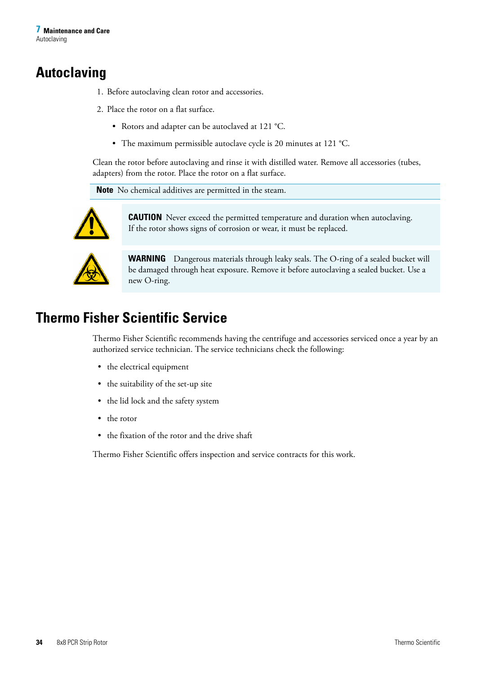## <span id="page-29-0"></span>**Autoclaving**

- 1. Before autoclaving clean rotor and accessories.
- 2. Place the rotor on a flat surface.
	- Rotors and adapter can be autoclaved at 121 °C.
	- The maximum permissible autoclave cycle is 20 minutes at 121 °C.

Clean the rotor before autoclaving and rinse it with distilled water. Remove all accessories (tubes, adapters) from the rotor. Place the rotor on a flat surface.

**Note** No chemical additives are permitted in the steam.



**CAUTION** Never exceed the permitted temperature and duration when autoclaving. If the rotor shows signs of corrosion or wear, it must be replaced.



**WARNING** Dangerous materials through leaky seals. The O-ring of a sealed bucket will be damaged through heat exposure. Remove it before autoclaving a sealed bucket. Use a new O-ring.

## <span id="page-29-1"></span>**Thermo Fisher Scientific Service**

Thermo Fisher Scientific recommends having the centrifuge and accessories serviced once a year by an authorized service technician. The service technicians check the following:

- the electrical equipment
- the suitability of the set-up site
- the lid lock and the safety system
- the rotor
- the fixation of the rotor and the drive shaft

Thermo Fisher Scientific offers inspection and service contracts for this work.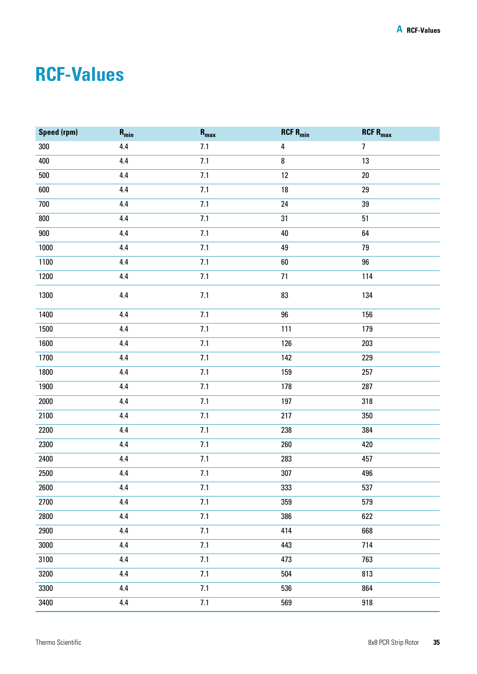# <span id="page-30-0"></span>**RCF-Values**

| Speed (rpm) | $\mathbf{R}_{\text{min}}$ | $\mathbf{R}_{\text{max}}$ | $RCF$ R <sub>min</sub> | $RCF$ $R_{max}$ |
|-------------|---------------------------|---------------------------|------------------------|-----------------|
| 300         | $4.4\,$                   | 7.1                       | 4                      | $\overline{7}$  |
| 400         | $4.4\,$                   | 7.1                       | $\bf 8$                | 13              |
| 500         | $4.4\,$                   | 7.1                       | 12                     | $20\,$          |
| 600         | 4.4                       | 7.1                       | $18\,$                 | 29              |
| 700         | $4.4\,$                   | 7.1                       | 24                     | 39              |
| 800         | 4.4                       | 7.1                       | 31                     | 51              |
| 900         | $4.4\,$                   | 7.1                       | 40                     | 64              |
| 1000        | $4.4\,$                   | 7.1                       | 49                     | 79              |
| 1100        | $4.4\,$                   | 7.1                       | 60                     | $96\,$          |
| 1200        | $4.4\,$                   | 7.1                       | $71\,$                 | 114             |
| 1300        | $4.4\,$                   | 7.1                       | 83                     | 134             |
| 1400        | $4.4\,$                   | 7.1                       | $96\,$                 | 156             |
| 1500        | $4.4\,$                   | 7.1                       | 111                    | 179             |
| 1600        | $4.4\,$                   | 7.1                       | 126                    | 203             |
| 1700        | $4.4\,$                   | 7.1                       | 142                    | 229             |
| 1800        | $4.4\,$                   | 7.1                       | 159                    | 257             |
| 1900        | $4.4\,$                   | 7.1                       | 178                    | 287             |
| 2000        | $4.4\,$                   | 7.1                       | 197                    | 318             |
| 2100        | $4.4\,$                   | 7.1                       | 217                    | 350             |
| 2200        | $4.4\,$                   | 7.1                       | 238                    | 384             |
| 2300        | $4.4\,$                   | 7.1                       | 260                    | 420             |
| 2400        | $4.4\,$                   | 7.1                       | 283                    | 457             |
| 2500        | $4.4\,$                   | 7.1                       | 307                    | 496             |
| 2600        | 4.4                       | 7.1                       | 333                    | 537             |
| 2700        | 4.4                       | 7.1                       | 359                    | 579             |
| 2800        | 4.4                       | 7.1                       | 386                    | 622             |
| 2900        | 4.4                       | 7.1                       | 414                    | 668             |
| 3000        | 4.4                       | 7.1                       | 443                    | 714             |
| 3100        | 4.4                       | 7.1                       | 473                    | 763             |
| 3200        | 4.4                       | 7.1                       | 504                    | 813             |
| 3300        | 4.4                       | 7.1                       | 536                    | 864             |
| 3400        | $4.4\,$                   | 7.1                       | 569                    | 918             |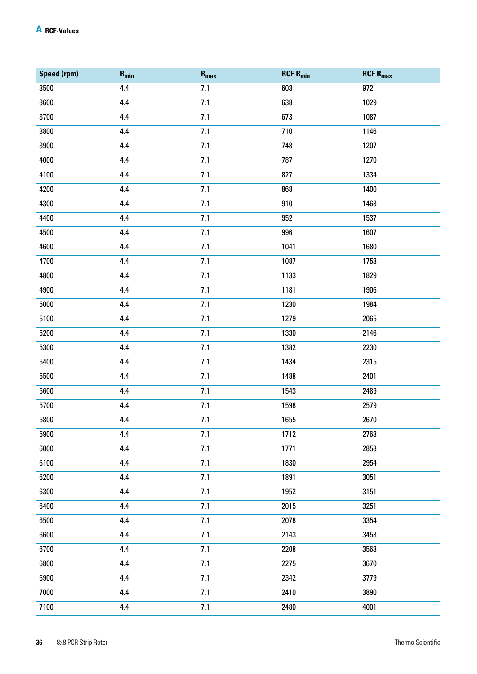| Speed (rpm) | $\mathbf{R}_{\text{min}}$ | $R_{max}$ | $RCF$ R <sub>min</sub> | <b>RCF R<sub>max</sub></b> |
|-------------|---------------------------|-----------|------------------------|----------------------------|
| 3500        | $4.4\,$                   | 7.1       | 603                    | 972                        |
| 3600        | 4.4                       | 7.1       | 638                    | 1029                       |
| 3700        | 4.4                       | 7.1       | 673                    | 1087                       |
| 3800        | 4.4                       | 7.1       | 710                    | 1146                       |
| 3900        | 4.4                       | 7.1       | 748                    | 1207                       |
| 4000        | 4.4                       | 7.1       | 787                    | 1270                       |
| 4100        | 4.4                       | 7.1       | 827                    | 1334                       |
| 4200        | 4.4                       | 7.1       | 868                    | 1400                       |
| 4300        | 4.4                       | 7.1       | 910                    | 1468                       |
| 4400        | 4.4                       | 7.1       | 952                    | 1537                       |
| 4500        | 4.4                       | 7.1       | 996                    | 1607                       |
| 4600        | 4.4                       | 7.1       | 1041                   | 1680                       |
| 4700        | 4.4                       | 7.1       | 1087                   | 1753                       |
| 4800        | 4.4                       | 7.1       | 1133                   | 1829                       |
| 4900        | 4.4                       | 7.1       | 1181                   | 1906                       |
| 5000        | 4.4                       | 7.1       | 1230                   | 1984                       |
| 5100        | 4.4                       | 7.1       | 1279                   | 2065                       |
| 5200        | 4.4                       | 7.1       | 1330                   | 2146                       |
| 5300        | 4.4                       | 7.1       | 1382                   | 2230                       |
| 5400        | 4.4                       | 7.1       | 1434                   | 2315                       |
| 5500        | 4.4                       | 7.1       | 1488                   | 2401                       |
| 5600        | 4.4                       | 7.1       | 1543                   | 2489                       |
| 5700        | 4.4                       | 7.1       | 1598                   | 2579                       |
| 5800        | 4.4                       | 7.1       | 1655                   | 2670                       |
| 5900        | 4.4                       | 7.1       | 1712                   | 2763                       |
| 6000        | 4.4                       | 7.1       | 1771                   | 2858                       |
| 6100        | 4.4                       | 7.1       | 1830                   | 2954                       |
| 6200        | 4.4                       | 7.1       | 1891                   | 3051                       |
| 6300        | 4.4                       | 7.1       | 1952                   | 3151                       |
| 6400        | 4.4                       | 7.1       | 2015                   | 3251                       |
| 6500        | 4.4                       | 7.1       | 2078                   | 3354                       |
| 6600        | 4.4                       | 7.1       | 2143                   | 3458                       |
| 6700        | $4.4\,$                   | 7.1       | 2208                   | 3563                       |
| 6800        | 4.4                       | 7.1       | 2275                   | 3670                       |
| 6900        | $4.4\,$                   | 7.1       | 2342                   | 3779                       |
| 7000        | $4.4\,$                   | 7.1       | 2410                   | 3890                       |
| 7100        | $4.4\,$                   | 7.1       | 2480                   | 4001                       |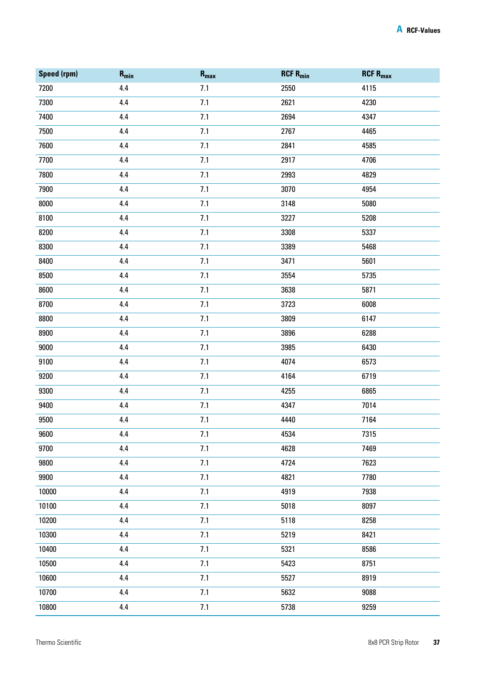| <b>Speed (rpm)</b> | $R_{min}$ | $\mathbf{R}_{\text{max}}$ | $RCF$ R <sub>min</sub> | $RCF$ $R_{max}$ |
|--------------------|-----------|---------------------------|------------------------|-----------------|
| 7200               | 4.4       | 7.1                       | 2550                   | 4115            |
| 7300               | 4.4       | 7.1                       | 2621                   | 4230            |
| 7400               | 4.4       | 7.1                       | 2694                   | 4347            |
| 7500               | 4.4       | 7.1                       | 2767                   | 4465            |
| 7600               | 4.4       | 7.1                       | 2841                   | 4585            |
| 7700               | 4.4       | 7.1                       | 2917                   | 4706            |
| 7800               | 4.4       | 7.1                       | 2993                   | 4829            |
| 7900               | 4.4       | 7.1                       | 3070                   | 4954            |
| 8000               | 4.4       | 7.1                       | 3148                   | 5080            |
| 8100               | 4.4       | 7.1                       | 3227                   | 5208            |
| 8200               | 4.4       | 7.1                       | 3308                   | 5337            |
| 8300               | 4.4       | 7.1                       | 3389                   | 5468            |
| 8400               | 4.4       | 7.1                       | 3471                   | 5601            |
| 8500               | 4.4       | 7.1                       | 3554                   | 5735            |
| 8600               | 4.4       | 7.1                       | 3638                   | 5871            |
| 8700               | 4.4       | 7.1                       | 3723                   | 6008            |
| 8800               | 4.4       | 7.1                       | 3809                   | 6147            |
| 8900               | 4.4       | 7.1                       | 3896                   | 6288            |
| 9000               | 4.4       | 7.1                       | 3985                   | 6430            |
| 9100               | 4.4       | 7.1                       | 4074                   | 6573            |
| 9200               | 4.4       | $7.1$                     | 4164                   | 6719            |
| 9300               | 4.4       | 7.1                       | 4255                   | 6865            |
| 9400               | 4.4       | 7.1                       | 4347                   | 7014            |
| 9500               | 4.4       | $7.1\,$                   | 4440                   | 7164            |
| 9600               | 4.4       | 7.1                       | 4534                   | 7315            |
| 9700               | 4.4       | 7.1                       | 4628                   | 7469            |
| 9800               | 4.4       | 7.1                       | 4724                   | 7623            |
| 9900               | 4.4       | 7.1                       | 4821                   | 7780            |
| 10000              | 4.4       | 7.1                       | 4919                   | 7938            |
| 10100              | 4.4       | 7.1                       | 5018                   | 8097            |
| 10200              | 4.4       | 7.1                       | 5118                   | 8258            |
| 10300              | 4.4       | 7.1                       | 5219                   | 8421            |
| 10400              | 4.4       | 7.1                       | 5321                   | 8586            |
| 10500              | 4.4       | 7.1                       | 5423                   | 8751            |
| 10600              | 4.4       | 7.1                       | 5527                   | 8919            |
| 10700              | 4.4       | 7.1                       | 5632                   | 9088            |
| 10800              | 4.4       | 7.1                       | 5738                   | 9259            |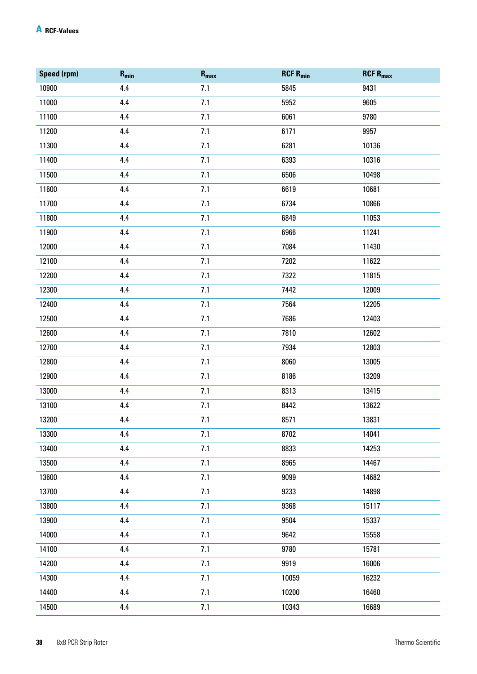| Speed (rpm) | $R_{min}$ | $R_{max}$ | $RCF R_{min}$ | $RCF$ R <sub>max</sub> |
|-------------|-----------|-----------|---------------|------------------------|
| 10900       | 4.4       | 7.1       | 5845          | 9431                   |
| 11000       | 4.4       | 7.1       | 5952          | 9605                   |
| 11100       | 4.4       | 7.1       | 6061          | 9780                   |
| 11200       | 4.4       | 7.1       | 6171          | 9957                   |
| 11300       | 4.4       | 7.1       | 6281          | 10136                  |
| 11400       | 4.4       | 7.1       | 6393          | 10316                  |
| 11500       | 4.4       | 7.1       | 6506          | 10498                  |
| 11600       | 4.4       | 7.1       | 6619          | 10681                  |
| 11700       | 4.4       | 7.1       | 6734          | 10866                  |
| 11800       | 4.4       | 7.1       | 6849          | 11053                  |
| 11900       | 4.4       | 7.1       | 6966          | 11241                  |
| 12000       | 4.4       | 7.1       | 7084          | 11430                  |
| 12100       | 4.4       | 7.1       | 7202          | 11622                  |
| 12200       | 4.4       | 7.1       | 7322          | 11815                  |
| 12300       | 4.4       | 7.1       | 7442          | 12009                  |
| 12400       | 4.4       | 7.1       | 7564          | 12205                  |
| 12500       | 4.4       | 7.1       | 7686          | 12403                  |
| 12600       | 4.4       | 7.1       | 7810          | 12602                  |
| 12700       | 4.4       | 7.1       | 7934          | 12803                  |
| 12800       | 4.4       | 7.1       | 8060          | 13005                  |
| 12900       | 4.4       | 7.1       | 8186          | 13209                  |
| 13000       | 4.4       | 7.1       | 8313          | 13415                  |
| 13100       | 4.4       | 7.1       | 8442          | 13622                  |
| 13200       | 4.4       | 7.1       | 8571          | 13831                  |
| 13300       | 4.4       | 7.1       | 8702          | 14041                  |
| 13400       | 4.4       | 7.1       | 8833          | 14253                  |
| 13500       | 4.4       | 7.1       | 8965          | 14467                  |
| 13600       | 4.4       | 7.1       | 9099          | 14682                  |
| 13700       | 4.4       | 7.1       | 9233          | 14898                  |
| 13800       | 4.4       | 7.1       | 9368          | 15117                  |
| 13900       | 4.4       | 7.1       | 9504          | 15337                  |
| 14000       | 4.4       | 7.1       | 9642          | 15558                  |
| 14100       | 4.4       | 7.1       | 9780          | 15781                  |
| 14200       | 4.4       | 7.1       | 9919          | 16006                  |
| 14300       | 4.4       | 7.1       | 10059         | 16232                  |
| 14400       | 4.4       | 7.1       | 10200         | 16460                  |
| 14500       | 4.4       | 7.1       | 10343         | 16689                  |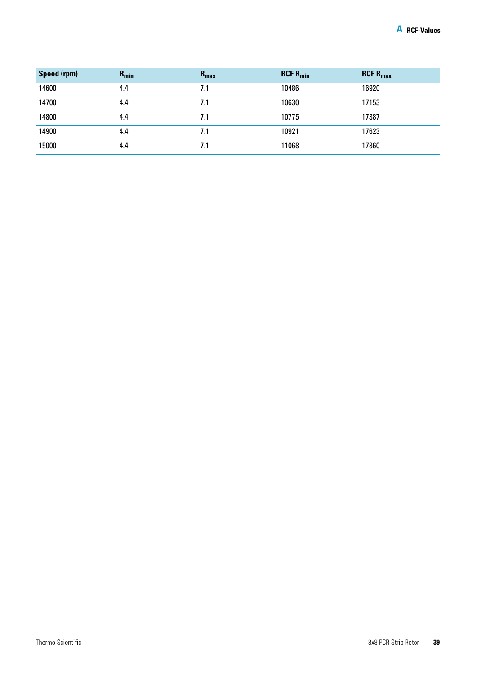| Speed (rpm) | $R_{min}$ | $R_{\text{max}}$ | $RCF R_{min}$ | $RCF$ R <sub>max</sub> |
|-------------|-----------|------------------|---------------|------------------------|
| 14600       | 4.4       | 7.1              | 10486         | 16920                  |
| 14700       | 4.4       | 7.1              | 10630         | 17153                  |
| 14800       | 4.4       | 7.1              | 10775         | 17387                  |
| 14900       | 4.4       | 7.1              | 10921         | 17623                  |
| 15000       | 4.4       | 7.1              | 11068         | 17860                  |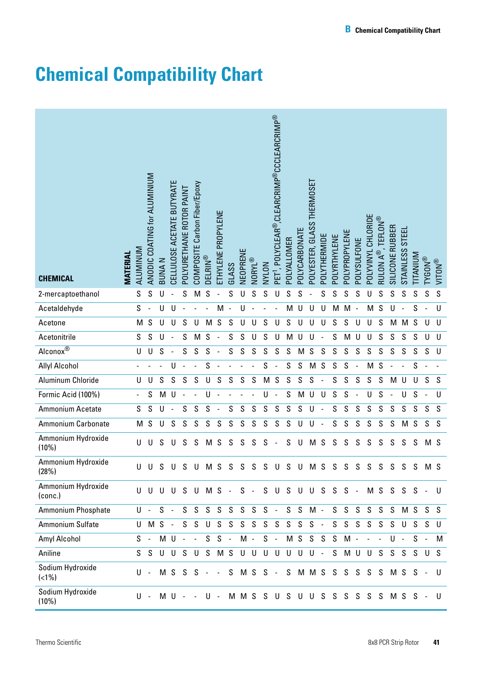# <span id="page-35-1"></span><span id="page-35-0"></span>**Chemical Compatibility Chart**

| <b>CHEMICAL</b>                         | <b>MATERIAL</b> | ALUMINUM      | ANODIC COATING for ALUMINIUM | <b>BUNAN</b> | CELLULOSE ACETATE BUTYRATE | POLYURETHANE ROTOR PAINT | COMPOSITE Carbon Fiber/Epoxy | <b>DELRIN®</b> | ETHYLENE PROPYLENE | GLASS | VEOPRENE | NORYL® | NYLON         | PET <sup>1</sup> , POLYCLEAR®,CLEARCRIMP®CCCLEARCRIMP® | POLYALLOMER                            | POLYCARBONATE | POLYESTER, GLASS THERMOSET | POLYTHERMIDE | POLYRTHYLENE  | POLYPROPYLENE | POLYSULFONE | POLYVINYL CHLORIDE  | RULON A®, TEFLON® | SILICONE RUBBER | STAINLESS STEEL | <b>NUINATI</b>            | <b>TYGON®</b>  | <b>MULIN</b> |
|-----------------------------------------|-----------------|---------------|------------------------------|--------------|----------------------------|--------------------------|------------------------------|----------------|--------------------|-------|----------|--------|---------------|--------------------------------------------------------|----------------------------------------|---------------|----------------------------|--------------|---------------|---------------|-------------|---------------------|-------------------|-----------------|-----------------|---------------------------|----------------|--------------|
| 2-mercaptoethanol                       |                 | S             | S                            |              |                            | S                        | M                            | S              |                    | S     |          | S      | S             |                                                        | S                                      | S             |                            | S            | S             | S             | S           | U                   | S                 | S               | S               | S                         | S              | S            |
| Acetaldehyde                            |                 | S             |                              | U            | U                          |                          |                              |                | M                  |       | U        |        |               |                                                        | M                                      | U             | U                          | U            | M             | M             |             | M                   | S                 | U               |                 | S                         |                | $\sf U$      |
| Acetone                                 |                 | M             | $\mathsf S$                  | $\cup$       | U                          | S                        | $\cup$                       | M              | S                  | S     | U        | U      | S             | U                                                      | S                                      | U             | U                          | U            | S             | S             | U           | U                   | S                 | M               | M               | S                         | U              | $\sf U$      |
| Acetonitrile                            |                 | $\mathsf S$   | ${\mathsf S}$                | U            |                            | S                        | M                            | S              |                    | S     | S        | U      | S             | U                                                      | M                                      | U             | U                          |              | S             | M             | U           | U                   | S                 | $\mathsf S$     | $\mathsf S$     | S                         | U              | $\cup$       |
| $\overline{\text{Alconox}^{\circledR}}$ |                 | U             | U                            | S            | $\blacksquare$             | S                        | S                            | $\mathsf S$    |                    | S     | S        | S      | ${\mathsf S}$ | S                                                      | S                                      | M             | S                          | S            | S             | S             | S           | S                   | S                 | ${\mathsf S}$   | $\mathsf S$     | ${\mathsf S}$             | S              | $\cup$       |
| <b>Allyl Alcohol</b>                    |                 |               |                              |              | U                          |                          |                              | S              |                    |       |          |        | S             |                                                        | S                                      | S             | M                          | S            | S             | S             |             | M                   | S                 |                 |                 | S                         |                |              |
| Aluminum Chloride                       |                 | U             | U                            | S            | S                          | $\mathsf S$              | S                            | U              | S                  | S     | S        | S      | M             | S                                                      | S                                      | S             | S                          |              | S             | S             | S           | S                   | S                 | M               | U               | $\cup$                    | $\mathsf S$    | S            |
| Formic Acid (100%)                      |                 |               | ${\mathsf S}$                | M            | U                          |                          |                              | U              |                    |       |          |        | U             |                                                        | S                                      | M             | U                          | U            | S             | S             |             | U                   | S                 |                 | U               | S                         |                | U            |
| Ammonium Acetate                        |                 | ${\mathsf S}$ | ${\mathsf S}$                | U            |                            | S                        | S                            | S              |                    | S     | S        | S      | S             | S                                                      | S                                      | S             | U                          |              | S             | S             | S           | S                   | S                 | S               | $\mathsf S$     | S                         | S              | S            |
| Ammonium Carbonate                      |                 | M             | ${\mathsf S}$                | U            | S                          | ${\mathsf S}$            | S                            | $\mathsf S$    | S                  | S     | S        | S      | ${\mathsf S}$ | $\mathsf S$                                            | S                                      | U             | U                          |              | ${\mathsf S}$ | S             | S           | S                   | S                 | S               | M               | $\mathsf S$               | S              | S            |
| Ammonium Hydroxide<br>$(10\%)$          |                 | U             | U                            | S            | U                          | S                        | S                            | M              | S                  | S     | S        | S      | S             |                                                        | S                                      | U             | M                          | S            | S             | S             | S           | S                   | S                 | S               | S               | S                         | M S            |              |
| Ammonium Hydroxide<br>(28%)             |                 | $\mathbf{H}$  | U                            | S.           | U                          | S                        | U                            | M S            |                    | S     | S        | S      | S             | U                                                      | S                                      | U             | M S                        |              | S             | S             | S           | S                   | S                 | S               | S               | S                         | M <sub>S</sub> |              |
| Ammonium Hydroxide<br>(conc.)           |                 |               |                              |              |                            |                          | U U U U S U M S - S -        |                |                    |       |          |        |               |                                                        | $S \cup S \cup U \cup S \cup S \cup S$ |               |                            |              |               |               |             |                     |                   |                 |                 | MSSSS-                    |                | U            |
| <b>Ammonium Phosphate</b>               |                 |               | U -                          |              | $S -$                      |                          | $S$ $S$ $S$ $S$ $S$          |                |                    |       | S        | S      |               | $S -$                                                  |                                        | S S           | $M -$                      |              |               | $S$ $S$ $S$   |             | S                   |                   | S S             |                 |                           | M S S          | S.           |
| Ammonium Sulfate                        |                 |               |                              | U M S -      |                            |                          | S S                          |                | U S S              |       | S        |        |               | S S S                                                  | S S                                    |               | $S -$                      |              | S             | S             | S           | S                   |                   | S S             |                 | U S S                     |                | U            |
| Amyl Alcohol                            |                 | S.            | $\sim$                       |              |                            | M U - -                  |                              |                | $S S -$            |       |          | $M -$  |               | $S -$                                                  |                                        | M S S S S     |                            |              |               |               | M -         | $\omega_{\rm{max}}$ |                   |                 | U-              | $S -$                     |                | М            |
| Aniline                                 |                 |               | S S                          |              |                            |                          | U U S U S M S U U U U        |                |                    |       |          |        |               |                                                        |                                        | U U           | $U -$                      |              | S             |               |             |                     |                   |                 |                 | MUUSSSS                   | U              | S            |
| Sodium Hydroxide<br>$(<1\%)$            |                 | U             | $\sim$                       |              |                            |                          | M S S S - -                  |                |                    |       |          |        |               | S M S S -                                              |                                        |               |                            |              |               |               |             |                     |                   |                 |                 | S M M S S S S S S M S S - |                | U            |
| Sodium Hydroxide<br>(10%)               |                 |               | U-                           |              |                            | $M$ U - -                |                              |                |                    |       |          |        |               |                                                        | U - M M S S U S U U S S S              |               |                            |              |               |               | S           | S.                  | S                 |                 |                 | M S S -                   |                | U            |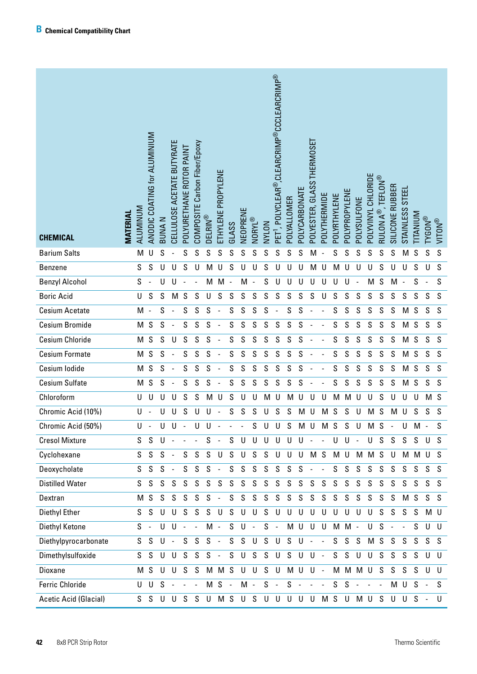| <b>CHEMICAL</b>              | <b>MATERIAL</b> | ALUMINUM       | ANODIC COATING for ALUMINIUM | <b>BUNAN</b>  | CELLULOSE ACETATE BUTYRATE | POLYURETHANE ROTOR PAINT | COMPOSITE Carbon Fiber/Epoxy | <b>DELRIN®</b> | ETHYLENE PROPYLENE | GLASS                    | <b>NEOPRENE</b> | NORYL®         | NVLON       | PET <sup>1</sup> , POLYCLEAR®,CLEARCRIMP®CCCLEARCRIMP® | POLYALLOMER | POLYCARBONATE            | POLYESTER, GLASS THERMOSET | POLYTHERMIDE             | POLYRTHYLENE | POLYPROPYLENE | POLYSULFONE | POLYVINYL CHLORIDE | RULON A®, TEFLON® | SILICONE RUBBER | STAINLESS STEEL          | <b>NUMALI</b> . | <b>TYGON®</b>            | <b>MILDN®</b> |
|------------------------------|-----------------|----------------|------------------------------|---------------|----------------------------|--------------------------|------------------------------|----------------|--------------------|--------------------------|-----------------|----------------|-------------|--------------------------------------------------------|-------------|--------------------------|----------------------------|--------------------------|--------------|---------------|-------------|--------------------|-------------------|-----------------|--------------------------|-----------------|--------------------------|---------------|
| <b>Barium Salts</b>          |                 | M              | U                            | S             |                            | S                        | S                            | S              | S                  | S                        | S               | S              | S           | S                                                      | S           | S                        | M                          |                          | S            | S             | S           | S                  | S                 | S               | M                        | S               | S                        | S             |
| <b>Benzene</b>               |                 | ${\mathsf S}$  | S                            | U             | U                          | S                        | U                            | M              | U                  | S                        | U               | U              | S           | U                                                      | U           | U                        | M                          | U                        | M            | U             | U           | U                  | S                 | U               | U                        | S               | U                        | ${\mathsf S}$ |
| <b>Benzyl Alcohol</b>        |                 | S              |                              | U             | U                          |                          |                              | M              | M                  | $\overline{\phantom{a}}$ | M               |                | S           | U                                                      | U           | U                        | U                          | U                        | U            | U             |             | M                  | S                 | M               | $\overline{\phantom{a}}$ | S               | $\overline{\phantom{a}}$ | S             |
| <b>Boric Acid</b>            |                 | $\sf U$        | S                            | S             | M                          | S                        | S                            | U              | S                  | S                        | ${\mathsf S}$   | S              | S           | S                                                      | S           | S                        | S                          | U                        | S            | S             | S           | S                  | S                 | S               | S                        | $\mathsf S$     | S                        | $\mathsf S$   |
| Cesium Acetate               |                 | M              | $\overline{\phantom{a}}$     | ${\mathsf S}$ | $\blacksquare$             | S                        | S                            | S              |                    | S                        | S               | S              | S           |                                                        | S           | S                        |                            |                          | S            | S             | S           | S                  | S                 | S               | M                        | $\mathsf S$     | S                        | ${\mathsf S}$ |
| Cesium Bromide               |                 | M              | $\mathsf S$                  | S             |                            | S                        | S                            | S              |                    | S                        | S               | S              | S           | S                                                      | S           | S                        |                            |                          | S            | S             | S           | S                  | S                 | S               | M                        | S               | S                        | ${\mathsf S}$ |
| <b>Cesium Chloride</b>       |                 | M              | $\mathsf S$                  | S             | U                          | S                        | S                            | S              |                    | S                        | S               | S              | S           | S                                                      | S           | S                        |                            |                          | S            | S             | S           | S                  | S                 | S               | M                        | S               | S                        | ${\mathsf S}$ |
| <b>Cesium Formate</b>        |                 | M              | S                            | S             |                            | S                        | S                            | S              |                    | S                        | S               | S              | S           | S                                                      | S           | S                        |                            |                          | S            | S             | S           | S                  | S                 | S               | M                        | S               | S                        | ${\mathsf S}$ |
| Cesium Iodide                |                 | M              | $\mathsf S$                  | S             | $\overline{a}$             | S                        | S                            | S              |                    | S                        | S               | S              | S           | S                                                      | S           | S                        |                            |                          | S            | S             | S           | S                  | S                 | S               | M                        | S               | S                        | $\mathsf S$   |
| <b>Cesium Sulfate</b>        |                 | M              | $\mathsf S$                  | S             |                            | S                        | S                            | S              |                    | S                        | S               | S              | S           | S                                                      | S           | S                        |                            |                          | S            | S             | S           | S                  | S                 | S               | M                        | S               | S                        | ${\mathsf S}$ |
| Chloroform                   |                 | U              | U                            | $\cup$        | U                          | S                        | S                            | M              | U                  | S                        | U               | U              | M           | U                                                      | M           | U                        | U                          | U                        | M            | M             | U           | U                  | S                 | U               | U                        | U               | M                        | S             |
| Chromic Acid (10%)           |                 | $\sf U$        |                              | $\cup$        | U                          | S                        | U                            | U              |                    | S                        | S               | S              | U           | S                                                      | S           | M                        | U                          | M                        | S            | S             | U           | M                  | S                 | M               | $\cup$                   | S               | S                        | ${\mathsf S}$ |
| Chromic Acid (50%)           |                 | U              |                              | U             | U                          |                          | U                            | U              |                    |                          |                 | S              | U           | U                                                      | S           | M U                      |                            | M                        | S            | S             | U           | M                  | S                 |                 | U                        | M               |                          | S             |
| <b>Cresol Mixture</b>        |                 | S.             | S                            | U             |                            |                          |                              | S              | $\sim$             | S                        | U               | U              | U           | $\cup$                                                 | $\cup$      | U                        |                            | $\overline{a}$           | U            | U             |             | U                  | S                 | S               | S                        | S               | U                        | S             |
| Cyclohexane                  |                 | S.             | S                            | S             | $\sim$                     | S                        | S                            | S              | U                  | S                        | U               | S              | S           | U                                                      | U           | U                        | M S                        |                          | M            | $\cup$        |             | M M S              |                   | U               |                          | M M U           |                          | S.            |
| Deoxycholate                 |                 | S              | S                            | S             | $\sim$                     | S                        | S                            | S              |                    | S                        | S               | S              | $\mathsf S$ | S                                                      | $\mathsf S$ | $\mathsf S$              |                            |                          | S            | S             | S           | S                  | S                 | S               | S                        | S               | S                        | S             |
| <b>Distilled Water</b>       |                 | S              | $\mathsf S$                  | S             | S                          | S                        | S                            | S              | S                  | S                        | S               | S              | S           | S                                                      | $\mathsf S$ | $\mathsf S$              | S                          | $\mathsf S$              | $\mathsf S$  | S             | S           | S                  | S                 | S               | S                        | S               | S                        | S             |
| Dextran                      |                 | М              | S                            | $\mathsf S$   | S                          | S                        | $\mathsf S$                  | S              |                    | S                        | S               | S              | $\mathsf S$ | $\mathsf S$                                            | $\mathsf S$ | $\mathsf S$              | $\mathsf S$                | $\mathsf S$              | S            | S             | S           | S                  | S                 | S               | M                        | S               | S                        | S.            |
| Diethyl Ether                |                 | S.             | S                            | $\cup$        | U                          | S S                      |                              | S              | U                  | S                        | U               | U              | S           | $\cup$                                                 | $\cup$      | $\cup$                   | U                          | $\sf U$                  | U            | U             | $\cup$      | $\cup$             | S                 | S               | S                        | S               | M U                      |               |
| Diethyl Ketone               |                 | $S -$          |                              | $\cup$        | $\cup$                     | $\sim$                   | $\sim$ $-$                   | M -            |                    | S                        | U               | $\blacksquare$ | $\mathsf S$ | $\sim$                                                 | M U         |                          | U                          | U                        | M            | $M -$         |             | U                  | S                 |                 |                          | S               | $\cup$                   | U             |
| Diethylpyrocarbonate         |                 | S              | S                            | $\cup$        | $\sim$                     |                          | S S                          | S              | $\sim$             | S.                       | S               | $\cup$         | $\mathsf S$ | $\cup$                                                 | S           | U                        | $\sim$                     | $\sim$                   | S            | S             | S           | M                  | S                 | S               | S                        | S               | S                        | S             |
| Dimethylsulfoxide            |                 | S.             | S                            | $\cup$        | U                          | S                        | S                            | S              |                    | S                        | U               | S              | S           | U                                                      | S           | U                        | U                          | $\sim$                   | S            | S             | $\cup$      | $\cup$             | S                 | S               | S                        | S               | $\cup$                   | U             |
| Dioxane                      |                 | M <sub>S</sub> |                              | $\cup$        | U                          | S S                      |                              |                | M M S              |                          | U               | $\cup$         | S           | $\cup$                                                 | M U         |                          | U                          | $\sim$                   | M            |               | M M         | U                  | S                 | S.              | S                        | S               | $\cup$                   | U             |
| <b>Ferric Chloride</b>       |                 | U              | $\cup$                       | S             | $\sim$                     |                          | $\overline{\phantom{a}}$     |                | $M S -$            |                          | M -             |                | $\mathsf S$ | $\sim$                                                 | S           | $\overline{\phantom{a}}$ | $\blacksquare$             | $\overline{\phantom{a}}$ | S            | S             |             |                    |                   | M               | U                        | S               |                          | S.            |
| <b>Acetic Acid (Glacial)</b> |                 |                |                              |               |                            |                          |                              |                |                    |                          |                 |                |             | S S U U S S U M S U S U U U U U U M S U M U S          |             |                          |                            |                          |              |               |             |                    |                   |                 | U U S                    |                 | $\sim$                   | U             |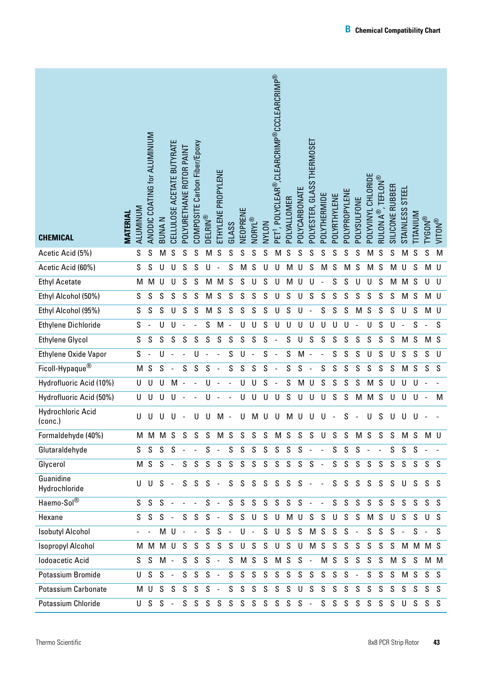| <b>CHEMICAL</b>              | <b>MATERIAL</b> | ALUMINUM      | ANODIC COATING for ALUMINIUM | <b>BUNAN</b> | CELLULOSE ACETATE BUTYRATE | POLYURETHANE ROTOR PAINT | COMPOSITE Carbon Fiber/Epoxy | <b>DELRIN®</b> | ETHYLENE PROPYLENE       | GLASS          | NEOPRENE | NORYL®         | NVLON | PET <sup>1</sup> , POLYCLEAR®,CLEARCRIMP®CCCLEARCRIMP® | POLYALLOMER | POLYCARBONATE | POLYESTER, GLASS THERMOSET | POLYTHERMIDE             | POLYRTHYLENE | POLYPROPYLENE | POLYSULFONE              | POLYVINYL CHLORIDE | , TEFLON®<br>RULON A <sup>®</sup> , | SILICONE RUBBER | STAINLESS STEEL | TITANIUM | <b>TYGON®</b>  | <b>WITON®</b> |
|------------------------------|-----------------|---------------|------------------------------|--------------|----------------------------|--------------------------|------------------------------|----------------|--------------------------|----------------|----------|----------------|-------|--------------------------------------------------------|-------------|---------------|----------------------------|--------------------------|--------------|---------------|--------------------------|--------------------|-------------------------------------|-----------------|-----------------|----------|----------------|---------------|
| Acetic Acid (5%)             |                 | S             | S                            | M            | S                          | S                        | S                            | М              | S                        | S              | S        | S              | S     | M                                                      | S           | S             | S                          | S                        | S            | S             | S                        | M                  | S                                   | S               | M               | S        | S              | M             |
| Acetic Acid (60%)            |                 | $\mathsf S$   | S                            | U            | U                          | S                        | S                            | U              |                          | S              | M        | S              | U     | U                                                      | M           | U             | S                          | M                        | S            | M             | S                        | M                  | S                                   | M               | U               | S        | M U            |               |
| <b>Ethyl Acetate</b>         |                 | M             | M                            | U            | U                          | S                        | S                            | М              | M                        | S              | S        | U              | S     | U                                                      | M           | U             | U                          |                          | S            | S             | U                        | U                  | S                                   | M               | M               | S        | U              | U             |
| Ethyl Alcohol (50%)          |                 | ${\mathsf S}$ | $\mathsf S$                  | S            | S                          | S                        | S                            | M              | S                        | S              | S        | S              | S     | U                                                      | S           | U             | S                          | S                        | S            | S             | S                        | $\mathsf S$        | S                                   | S               | M               | S        | M U            |               |
| Ethyl Alcohol (95%)          |                 | S             | $\mathsf S$                  | S            | U                          | S                        | S                            | М              | S                        | S              | S        | S              | S     | U                                                      | S           | U             |                            | S                        | S            | S             | M                        | $\mathsf S$        | S                                   | S               | U               | S        | M U            |               |
| <b>Ethylene Dichloride</b>   |                 | S             |                              | U            | U                          |                          |                              | S              | M                        | $\overline{a}$ | U        | U              | S     | U                                                      | U           | U             | U                          | U                        | U            | U             |                          | U                  | S                                   | U               | ÷,              | S        | L,             | $\mathsf S$   |
| <b>Ethylene Glycol</b>       |                 | ${\mathsf S}$ | ${\mathsf S}$                | $\mathsf S$  | S                          | S                        | S                            | S              | S                        | S              | S        | S              | S     |                                                        | S           | U             | S                          | S                        | S            | S             | S                        | $\mathsf S$        | S                                   | S               | M               | S        | M S            |               |
| Ethylene Oxide Vapor         |                 | S             | $\blacksquare$               | U            |                            |                          | U                            |                |                          | S              | U        |                | S     |                                                        | S           | M             |                            |                          | S            | S             | S                        | U                  | S                                   | U               | ${\mathsf S}$   | S        | S              | U             |
| Ficoll-Hypaque <sup>®</sup>  |                 | M             | ${\mathsf S}$                | S            |                            | S                        | S                            | S              |                          | S              | S        | S              | S     |                                                        | S           | S             |                            | S                        | S            | S             | S                        | S                  | S                                   | S               | M               | S        | S              | S             |
| Hydrofluoric Acid (10%)      |                 | U             | U                            | U            | M                          | L,                       |                              | U              |                          |                | U        | U              | S     |                                                        | S           | M             | U                          | S                        | S            | S             | S                        | М                  | S                                   | $\cup$          | U               | U        |                |               |
| Hydrofluoric Acid (50%)      |                 | U             | U                            | U            | U                          |                          |                              | U              |                          |                | U        | U              | U     | U                                                      | S           | U             | U                          | U                        | S            | S             | M                        | M                  | S                                   | U               | U               | U        | $\blacksquare$ | M             |
| Hydrochloric Acid<br>(conc.) |                 | U             | U                            | U            | U                          |                          | U                            | U              | M                        |                | U        | м              | U     | U                                                      | M           | U             |                            | U                        |              | S             |                          | U                  | S                                   | U               | U               | U        |                |               |
| Formaldehyde (40%)           |                 | м             | М                            |              | M S                        | S                        | S.                           | S              | M S                      |                | S        | S              | S     | M S                                                    |             |               | S S U                      |                          | S            | S             |                          | M S                | S                                   | S               | M S             |          | M U            |               |
| Glutaraldehyde               |                 | S             | S                            | S            | S                          | $\overline{\phantom{a}}$ |                              | S              | $\overline{\phantom{a}}$ | S              | S        | S              | S     | S                                                      | S           | S             | $\overline{\phantom{a}}$   |                          | S            | S             | S                        |                    |                                     | S               | S               | S        |                |               |
| Glycerol                     |                 | М             | S                            | S            | $\overline{\phantom{a}}$   | S                        | S                            | S              | S                        | S              | S        | S              | S     | S                                                      | S           | S             | S                          | $\overline{a}$           | S            | S             | S                        | S                  | S                                   | S               | S               | S.       | S S            |               |
| Guanidine<br>Hydrochloride   |                 | U             | U                            | - S -        |                            | S                        | S                            | $S -$          |                          | S.             |          | S S            | S     | S                                                      | S S         |               | $\sim$                     | $\blacksquare$           | S            | S.            | S                        | S                  | S                                   |                 | S U             |          | $S$ $S$ $S$    |               |
| Haemo-Sol®                   |                 | S.            | S                            | S            | $\overline{\phantom{a}}$   |                          |                              | S.             | $\overline{\phantom{a}}$ | S              | S        | S              | S     | S                                                      | S S         |               | $\sim$                     | $\overline{\phantom{a}}$ | S            | S             | S                        | S                  | S                                   | S               | S               | S        | S              | S             |
| Hexane                       |                 | S             | S                            | S            |                            | S                        | S                            | S              | $\overline{\phantom{a}}$ | S              | S        | U              | S     | U                                                      |             | M U           | S S                        |                          | U            | S             | S                        | M <sub>S</sub>     |                                     | U               | S               | S.       | U              | S             |
| <b>Isobutyl Alcohol</b>      |                 |               |                              | M U          |                            |                          |                              | S              | S                        | $\blacksquare$ | U        | $\sim$         | S     | $\cup$                                                 | S           | S             | M <sub>S</sub>             |                          | S            | S             | $\overline{\phantom{a}}$ | S.                 | S                                   | S               | $\blacksquare$  | $S -$    |                | S.            |
| <b>Isopropyl Alcohol</b>     |                 | м             | M                            | M U          |                            | S                        | S                            | S              | S                        | S              | U        | S              | S     | U                                                      | S           | U             | M <sub>S</sub>             |                          | S            | S             | S                        | S                  | S                                   | S               |                 |          | M M M S        |               |
| <b>Iodoacetic Acid</b>       |                 | S             | S                            | M -          |                            | S                        | S                            | S              | $\overline{\phantom{a}}$ | S              |          | M <sub>S</sub> | S     | M <sub>S</sub>                                         |             | S             | $\overline{\phantom{a}}$   | M                        | S            | S             | S                        | S                  | S                                   | M               | S               | S        |                | M M           |
| Potassium Bromide            |                 | U             | S                            | S            | $\overline{\phantom{a}}$   | S                        | S                            | S              | $\overline{\phantom{a}}$ | S              | S        | S              | S     | S                                                      | S           | S             | S                          | S                        | S            | S             | $\frac{1}{2}$            | S                  | S                                   | S               | M               | S        | S              | - S           |
| <b>Potassium Carbonate</b>   |                 | м             | U                            | S            | S                          | S                        | S                            | S              | $\overline{a}$           | S              | S        | S              | S     | S                                                      | S           | U             | S                          | S                        | S            | S             | S                        | S                  | S                                   | S               | S               | S        | S              | -S            |
| Potassium Chloride           |                 | U             | S                            | $S -$        |                            | S.                       |                              | S S            | S                        |                |          |                |       | $S$ $S$ $S$ $S$ $S$ $S$ $S$ $-$                        |             |               |                            |                          | S S          | S.            | S                        |                    | S S                                 | S.              | U               |          | $S$ $S$ $S$    |               |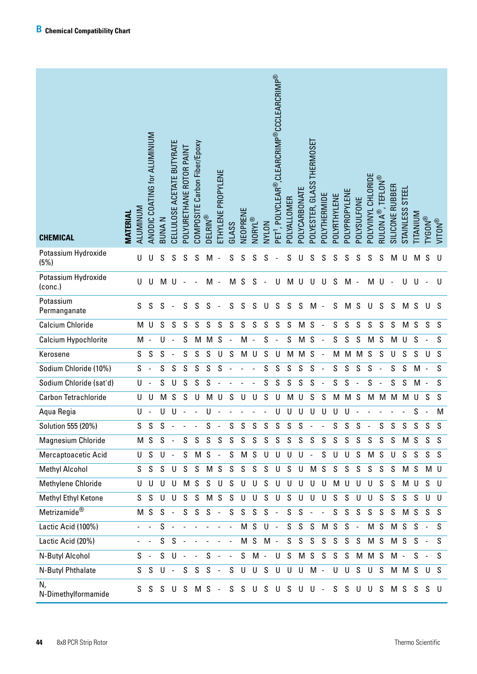| <b>CHEMICAL</b>                | <b>MATERIAL</b> | ALUMINUM    | ANODIC COATING for ALUMINIUM | <b>BUNAN</b> | CELLULOSE ACETATE BUTYRATE | POLYURETHANE ROTOR PAINT | COMPOSITE Carbon Fiber/Epoxy | <b>DELRIN®</b> | ETHYLENE PROPYLENE       | <b>GLASS</b>             | NEOPRENE | NORYL®                   | NYLON       | PET <sup>1</sup> , POLYCLEAR®,CLEARCRIMP®CCCLEARCRIMP® | POLYALLOMER | POLYCARBONATE | POLYESTER, GLASS THERMOSET | POLYTHERMIDE | POLYRTHYLENE | POLYPROPYLENE | POLYSULFONE    | POLYVINYL CHLORIDE | <b>RULON A®, TEFLON®</b> | SILICONE RUBBER | <b>STEEL</b><br><b>STAINLESS</b> | <b>TITANIUM</b> | <b>TYGON®</b>            | <b>MOLIN</b> |
|--------------------------------|-----------------|-------------|------------------------------|--------------|----------------------------|--------------------------|------------------------------|----------------|--------------------------|--------------------------|----------|--------------------------|-------------|--------------------------------------------------------|-------------|---------------|----------------------------|--------------|--------------|---------------|----------------|--------------------|--------------------------|-----------------|----------------------------------|-----------------|--------------------------|--------------|
| Potassium Hydroxide<br>(5%)    |                 | U           | U                            | S            | S                          | S                        | S                            | м              |                          | S                        | S        | S                        | S           |                                                        | S           | U             | S                          | S            | S            | S             | S              | S                  | S                        | M               | U                                | M               | S                        | U            |
| Potassium Hydroxide<br>(cone.) |                 | U           | U                            | M            | U                          |                          |                              | M              | $\overline{\phantom{a}}$ | M                        | S        | S                        |             | U                                                      | M           | U             | U                          | U            | S            | м             | $\overline{a}$ | M                  | U                        |                 | U                                | U               |                          | $\mathbf{U}$ |
| Potassium<br>Permanganate      |                 | S           | S                            | S            |                            | S                        | S                            | S              |                          | S                        | S        | S                        | U           | S                                                      | S           | S             | M                          |              | S            | M             | S              | U                  | S                        | S               | M                                | S               | U                        | S            |
| <b>Calcium Chloride</b>        |                 | M           | U                            | S            | S                          | S                        | S                            | S              | S                        | S                        | S        | S                        | S           | S                                                      | S           | M             | S                          |              | S            | S             | S              | S                  | S                        | S               | M                                | $\mathsf S$     | S                        | S            |
| <b>Calcium Hypochlorite</b>    |                 | M -         |                              | U            | $\blacksquare$             | S                        | M                            | M              | S                        |                          | M        | $\overline{\phantom{a}}$ | $\mathsf S$ |                                                        | S           | M             | S                          |              | S            | S             | S              | M                  | S                        | M               | U                                | S               | $\overline{\phantom{a}}$ | S            |
| Kerosene                       |                 | S           | $\mathsf S$                  | S            |                            | S                        | S                            | S              | U                        | S                        | M        | U                        | S           | U                                                      | M           | M             | S                          |              | M            | M             | M              | S                  | S                        | U               | S                                | S               | U                        | S            |
| Sodium Chloride (10%)          |                 | $\mathsf S$ | $\overline{\phantom{a}}$     | S            | S                          | S                        | S                            | S              | S                        |                          |          |                          | S           | S                                                      | S           | S             | S                          |              | S            | S             | S              | S                  |                          | S               | $\mathsf S$                      | M               | $\overline{\phantom{a}}$ | S            |
| Sodium Chloride (sat'd)        |                 | U           | $\overline{\phantom{a}}$     | S            | U                          | S                        | S                            | S              |                          |                          |          |                          | S           | S                                                      | S           | S             | S                          |              | S            | S             |                | S                  |                          | S               | S                                | M               | $\overline{\phantom{a}}$ | S            |
| Carbon Tetrachloride           |                 | U           | U                            | M            | S                          | S                        | U                            | M              | U                        | S                        | U        | U                        | S           | U                                                      | M           | U             | S                          | S            | M            | M             | S              | M                  | M                        | M               | M                                | U               | S                        | S            |
| Aqua Regia                     |                 | U           | $\overline{\phantom{a}}$     | U            | U                          |                          |                              | U              |                          |                          |          |                          |             | U                                                      | U           | U             | U                          | U            | U            | U             |                |                    |                          |                 |                                  | S               |                          | M            |
| Solution 555 (20%)             |                 | S           | S                            | S            |                            |                          |                              | S              |                          | S                        | S        | S                        | S           | S                                                      | S           | S             |                            |              | ς            | S             | S              |                    | ς                        | S               | S                                | S               | S                        | S            |
| Magnesium Chloride             |                 |             | M S                          | $S -$        |                            |                          | $S$ $S$ $S$ $S$              |                |                          | S                        | S        | S                        | S           | S                                                      | S           | S             | S                          | S            | S            | S             | S              | S                  | S                        | S               | M                                | S               | S.                       | S            |
| Mercaptoacetic Acid            |                 |             | U S                          | $U -$        |                            | S.                       |                              | $M S -$        |                          |                          | S M S U  |                          |             | U                                                      |             | $U$ $U$ $-$   |                            | S            | U            | U             | S              | M                  | S                        | $\mathsf{U}$    | S                                | S               | S                        | S.           |
| <b>Methyl Alcohol</b>          |                 |             | S S                          | S            | $\cup$                     | <sub>S</sub>             | S                            | M <sub>S</sub> |                          | S                        | S        | S                        | S           | $\cup$                                                 | S           | $\cup$        | M <sub>S</sub>             |              | S            | S             | S              | S                  | S                        | <sub>S</sub>    | М                                | S               | M U                      |              |
| Methylene Chloride             |                 | U           | $\mathsf{U}$                 | $\cup$       | $\cup$                     |                          | M <sub>S</sub>               | S              | $\cup$                   | <sub>S</sub>             | $\cup$   | $\cup$                   | S           | $\cup$                                                 | U           | $\cup$        | U                          | U            | M            | $\mathsf{U}$  | $\cup$         | $\cup$             | <sub>S</sub>             | <sub>S</sub>    | M                                | $\cup$          | <sub>S</sub>             | U            |
| Methyl Ethyl Ketone            |                 |             | S S                          | $\cup$       | $\cup$                     | S                        | S                            | M              | S                        | S                        | $\cup$   | $\cup$                   | S           | U                                                      | S           | U             | U                          | $\cup$       | S            | S             | $\cup$         | U                  | S                        | <sub>S</sub>    | S                                | S               | $\cup$                   | U            |
| Metrizamide <sup>®</sup>       |                 |             | M S                          | $S -$        |                            |                          | $S$ $S$ $S$ -                |                |                          | S                        | S        |                          | S S         | $\sim$                                                 | S           | S             | $\sim$                     | $\sim$       | S            | S             | S              | S                  | S                        | S               | M                                | S.              | S                        | S            |
| Lactic Acid (100%)             |                 |             |                              | S            | $\overline{\phantom{a}}$   |                          |                              |                |                          |                          |          | M S                      | $U -$       |                                                        | S           | S             | $\mathsf S$                | M S          |              | S             | $\sim$         | M <sub>S</sub>     |                          | M               | S                                | $S -$           |                          | S.           |
| Lactic Acid (20%)              |                 |             |                              | S.           | S.                         | $\sim$                   |                              |                |                          | $\overline{\phantom{a}}$ |          |                          | MSM-        |                                                        |             | S S           | S                          | S            | S            | S             | S              | M <sub>S</sub>     |                          |                 |                                  | $M$ S S -       |                          | S.           |
| N-Butyl Alcohol                |                 | $S -$       |                              | <sub>S</sub> | U                          | $\sim$                   | $\sim$ $\sim$                | S              | $\sim$                   | $\overline{\phantom{a}}$ | S        |                          | $M -$       |                                                        | $U$ S       | M S S         |                            |              | S S          |               | M              | M S                |                          | M -             |                                  | $S -$           |                          | S.           |
| N-Butyl Phthalate              |                 |             | S S                          | $\cup$       | $\sim$ $-$                 |                          | $S$ $S$ $S$ $-$              |                |                          | S                        | U        |                          |             | USUU                                                   |             | $\sf U$       | M -                        |              | U            | $\cup$        | S              | $\mathsf{U}^-$     | S                        |                 |                                  | M M S           | U                        | S.           |
| N,<br>N-Dimethylformamide      |                 | S           | S.                           | S.           | USMS-                      |                          |                              |                |                          | S                        |          |                          |             | SUSUSUU-                                               |             |               |                            |              |              | SSUU          |                |                    | S                        |                 |                                  |                 | M S S S U                |              |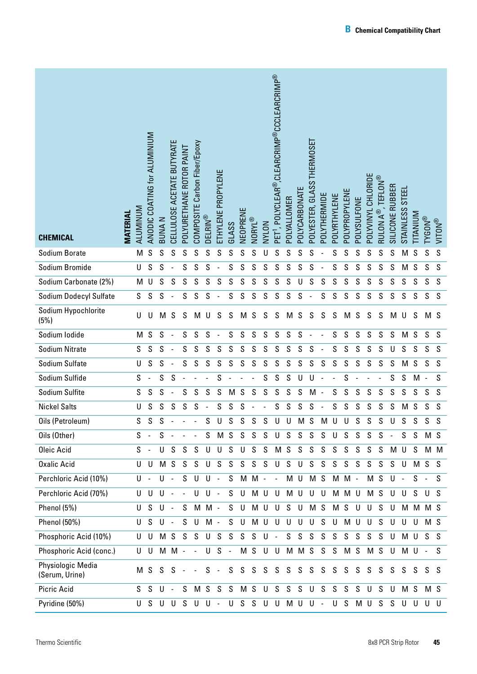| <b>CHEMICAL</b>                     | <b>MATERIAL</b> | ALUMINUM      | ANODIC COATING for ALUMINIUM | <b>BUNAN</b>  | CELLULOSE ACETATE BUTYRATE | POLYURETHANE ROTOR PAINT | COMPOSITE Carbon Fiber/Epoxy | <b>DELRIN®</b> | ETHYLENE PROPYLENE       | GLASS                    | NEOPRENE       | NORYL®      | NVLON       | PET <sup>1</sup> , POLYCLEAR®,CLEARCRIMP®CCCLEARCRIMP® | POLYALLOMER   | POLYCARBONATE | POLYESTER, GLASS THERMOSET | POLYTHERMIDE             | POLYRTHYLENE | POLYPROPYLENE | POLYSULFONE   | POLYVINYL CHLORIDE | , TEFLON®<br>RULON A <sup>®</sup> , | SILICONE RUBBER          | STEEL<br><b>STAINLESS</b> | TITANIUM       | <b>TYGON®</b>            | <b>WITON®</b> |
|-------------------------------------|-----------------|---------------|------------------------------|---------------|----------------------------|--------------------------|------------------------------|----------------|--------------------------|--------------------------|----------------|-------------|-------------|--------------------------------------------------------|---------------|---------------|----------------------------|--------------------------|--------------|---------------|---------------|--------------------|-------------------------------------|--------------------------|---------------------------|----------------|--------------------------|---------------|
| Sodium Borate                       |                 | M             | S                            | S             | S                          | S                        | S                            | S              | S                        | S                        | S              | S           | U           | S                                                      | S             | S             | S                          |                          | S            | S             | S             | S                  | S                                   | S                        | M                         | S              | S                        | S             |
| Sodium Bromide                      |                 | U             | ${\mathsf S}$                | S             | $\overline{\phantom{a}}$   | S                        | S                            | S              |                          | S                        | S              | S           | S           | S                                                      | S             | S             | S                          |                          | S            | S             | S             | S                  | $\mathsf S$                         | S                        | M                         | $\mathsf S$    | S                        | S             |
| Sodium Carbonate (2%)               |                 | M             | U                            | S             | S                          | S                        | S                            | S              | S                        | S                        | S              | S           | S           | S                                                      | S             | U             | S                          | S                        | S            | S             | S             | S                  | S                                   | S                        | S                         | S              | S                        | S             |
| Sodium Dodecyl Sulfate              |                 | S             | ${\mathsf S}$                | S             | $\overline{\phantom{a}}$   | S                        | S                            | S              |                          | S                        | S              | $\mathsf S$ | S           | ${\mathsf S}$                                          | S             | S             |                            | S                        | S            | S             | S             | S                  | S                                   | S                        | S                         | S              | S                        | S             |
| Sodium Hypochlorite<br>(5%)         |                 | U             | U                            | M             | S                          | S                        | M                            | U              | S                        | S                        | M              | S           | S           | S                                                      | M             | S             | S                          | S                        | S            | M             | S             | S                  | S                                   | M                        | U                         | S              | M <sub>S</sub>           |               |
| Sodium Iodide                       |                 | M             | ${\mathsf S}$                | S             | $\overline{\phantom{a}}$   | $\mathsf S$              | S                            | S              |                          | S                        | S              | $\mathsf S$ | S           | ${\mathsf S}$                                          | $\mathsf S$   | S             |                            |                          | S            | ${\mathsf S}$ | ${\mathsf S}$ | $\mathsf S$        | $\mathsf S$                         | S                        | M                         | S              | S                        | S             |
| <b>Sodium Nitrate</b>               |                 | S             | S                            | S             |                            | S                        | S                            | S              | S                        | S                        | S              | S           | S           | S                                                      | S             | S             | S                          |                          | S            | S             | S             | S                  | S                                   | U                        | S                         | S              | S                        | S             |
| Sodium Sulfate                      |                 | U             | ${\mathsf S}$                | ${\mathsf S}$ | $\overline{\phantom{a}}$   | S                        | S                            | S              | S                        | S                        | S              | S           | S           | S                                                      | S             | S             | S                          | S                        | S            | S             | S             | S                  | S                                   | S                        | M                         | S              | S                        | S             |
| Sodium Sulfide                      |                 | S             |                              | S             | S                          |                          |                              |                | S                        |                          |                |             | S           | S                                                      | ${\mathsf S}$ | U             | U                          |                          |              | S             |               |                    |                                     | S                        | S                         | M              | $\overline{\phantom{a}}$ | S             |
| Sodium Sulfite                      |                 | ${\mathsf S}$ | ${\mathsf S}$                | S             | $\blacksquare$             | S                        | S                            | S              | S                        | M                        | S              | S           | S           | S                                                      | S             | S             | M                          | $\overline{\phantom{a}}$ | S            | S             | S             | S                  | S                                   | S                        | S                         | S              | S                        | S             |
| <b>Nickel Salts</b>                 |                 | U             | ${\mathsf S}$                | S             | S                          | S                        | S                            |                | S                        | S                        | S              |             |             | S                                                      | S             | S             | ${\mathsf S}$              |                          | S            | S             | S             | S                  | S                                   | S                        | M                         | S              | S                        | S             |
| Oils (Petroleum)                    |                 | S             | S                            | S             |                            |                          |                              | S              | U                        | S                        | S              | S           | S           | U                                                      | U             | M             | S                          | M                        | U            | U             | S             | S                  | S                                   | U                        | S                         | S              | S                        | S             |
| Oils (Other)                        |                 | S.            |                              | S             | $\overline{\phantom{a}}$   | $\overline{\phantom{a}}$ | $\overline{\phantom{a}}$     | S              |                          | M S                      | S              | S           | $\mathsf S$ | U                                                      | S             | $\mathsf S$   | S                          | S                        | U            | S             | S             | S                  | S                                   | $\overline{\phantom{a}}$ | S                         | S              | M S                      |               |
| Oleic Acid                          |                 | S             |                              | U             | S                          | S                        | S                            | U              | U                        | $\mathsf S$              | U              | S           | S           | M <sub>S</sub>                                         |               | S             | S                          | S                        | S            | S             | S             | S                  | S                                   | М                        | U                         | S              |                          | M M           |
| <b>Oxalic Acid</b>                  |                 | U             | U                            | M             | S                          | S                        | S                            | U              | S                        | S                        | S              | S           | S           | U                                                      | S             | U             | S                          | S                        | S            | S             | S             | S                  | S                                   | S                        | U                         | M <sub>S</sub> |                          | - S           |
| Perchloric Acid (10%)               |                 | U             | $\overline{\phantom{a}}$     | U             | $\sim$                     | S                        | U                            | U              | $\overline{a}$           | S                        |                | M M -       |             | $\overline{\phantom{a}}$                               | M U           |               | M <sub>S</sub>             |                          | M            | M -           |               | M S                |                                     | U                        | $\overline{\phantom{a}}$  | S              | $\overline{\phantom{a}}$ | S             |
| Perchloric Acid (70%)               |                 | U             | U                            | U             | $\overline{\phantom{a}}$   | $\frac{1}{2}$            | U                            | U              | $\overline{a}$           | $\mathsf S$              | U              |             | M U U       |                                                        | M U           |               | U                          | U                        | M            | M U           |               | M S                |                                     | U                        | U                         | S              | U                        | - S           |
| Phenol (5%)                         |                 | U             | S                            | U             | $\sim$                     | S                        | М                            | M -            |                          | S                        | U              |             | M U         | U                                                      | S             | U             | M <sub>S</sub>             |                          | M            | S             | U             | U                  | S                                   | U                        |                           |                | M M M S                  |               |
| Phenol (50%)                        |                 | U             | S                            | U             | $\sim$                     | S                        | U                            | $M -$          |                          | $\mathsf S$              | U              |             | M U         | U                                                      | U             | U             | U                          | S                        | U            | М             | U             | U                  | S                                   | U                        | U                         | U              | M <sub>S</sub>           |               |
| Phosphoric Acid (10%)               |                 | U             | U                            |               | M S                        | S                        | S                            | U              | S                        | $\mathsf S$              | S              | S           | U           | $\overline{\phantom{a}}$                               | S             | S             | $\mathsf S$                | S                        | S            | S             | S             | S                  | S                                   | U                        |                           | M U            | S.                       | S             |
| Phosphoric Acid (conc.)             |                 | U             | U                            |               | M M -                      |                          | $\blacksquare$               | U              | S                        | $\overline{\phantom{a}}$ |                | M S         |             | U U                                                    |               | M M S         |                            | S                        | S            | M S           |               | M <sub>S</sub>     |                                     | U                        |                           | $M$ U -        |                          | S             |
| Physiologic Media<br>(Serum, Urine) |                 |               | M S                          |               | $S S -$                    |                          | $\overline{\phantom{a}}$     | S              | $\overline{\phantom{a}}$ | S.                       | S.             |             | S S         | S                                                      | S             | S             | S                          | S                        | S            | S.            | S             | S                  | S                                   | S                        | S.                        |                | SSS                      |               |
| Picric Acid                         |                 | S.            | S                            | U             | $\sim$                     | S                        |                              | M S            | S                        | S                        | M <sub>S</sub> |             | U           | S                                                      | S             | S             | U                          | $\mathsf S$              | $\mathsf S$  | S             | S             | U                  | S                                   | U                        | M S                       |                | M S                      |               |
| Pyridine (50%)                      |                 | U             | S.                           |               |                            |                          | UUSUU-                       |                |                          | U                        |                | SSUU        |             |                                                        |               |               | $M$ U U -                  |                          | U            | S             |               | M U                | S                                   | S                        | U                         |                | UUU                      |               |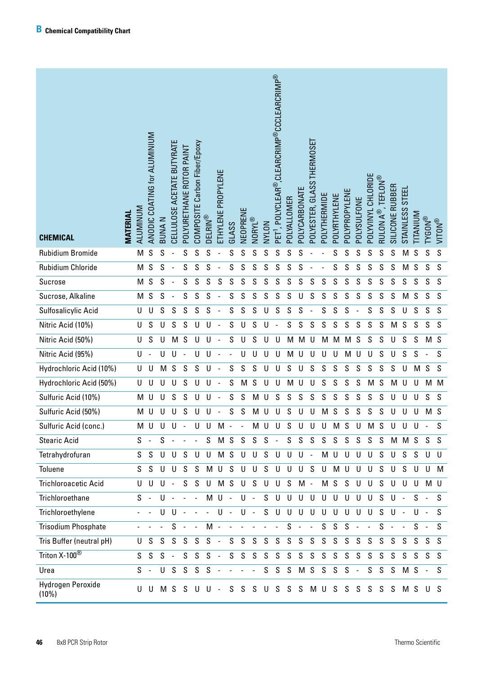| <b>CHEMICAL</b>             | <b>MATERIAL</b> | ALUMINUM | ANODIC COATING for ALUMINIUM | BUNA N | CELLULOSE ACETATE BUTYRATE | POLYURETHANE ROTOR PAINT | COMPOSITE Carbon Fiber/Epoxy | <b>DELRIN®</b> | ETHYLENE PROPYLENE       | GLASS | NEOPRENE | NORYL®        | NVLON       | $^0$ , POLYCLEAR®, CLEARCRIMP®CCCLEARCRIMP®<br>$\overline{E}$ | POLYALLOMER                         | POLYCARBONATE | POLYESTER, GLASS THERMOSET | POLYTHERMIDE | POLYRTHYLENE  | POLYPROPYLENE | POLYSULFONE  | POLYVINYL CHLORIDE | RULON A $^\circ$ , TEFLON $^\circ$ | SILICONE RUBBER | STAINLESS STEEL | <b>NUMALI.</b> | <b>TYGON®</b> | VITON <sup>®</sup> |
|-----------------------------|-----------------|----------|------------------------------|--------|----------------------------|--------------------------|------------------------------|----------------|--------------------------|-------|----------|---------------|-------------|---------------------------------------------------------------|-------------------------------------|---------------|----------------------------|--------------|---------------|---------------|--------------|--------------------|------------------------------------|-----------------|-----------------|----------------|---------------|--------------------|
| <b>Rubidium Bromide</b>     |                 | M        | S                            | S      |                            | S                        | S                            | S              |                          | S     | S        | S             | S           | S                                                             | S                                   | S             |                            |              | S             | S             | S            | S                  | S                                  | S               | M               | S              | S             | S                  |
| Rubidium Chloride           |                 | M        | S                            | S      |                            | S                        | S                            | S              |                          | S     | S        | S             | S           | S                                                             | S                                   | S             |                            |              | S             | S             | S            | S                  | S                                  | S               | M               | ${\mathsf S}$  | S             | S                  |
| Sucrose                     |                 |          | M S                          | S      | $\overline{a}$             | $\mathsf S$              | $\mathsf S$                  | S              | S                        | S     | S        | S             | S           | S                                                             | S                                   | S             | S                          | S            | ${\mathsf S}$ | $\mathsf S$   | S            | S                  | S                                  | S               | $\mathsf S$     | ${\mathsf S}$  | ${\sf S}$     | S                  |
| Sucrose, Alkaline           |                 |          | M S                          | S      |                            | S                        | S                            | S              |                          | S     | S        | S             | S           | S                                                             | S                                   | U             | S                          | S            | ${\mathsf S}$ | S             | S            | S                  | S                                  | S               | M               | ${\mathsf S}$  | $\mathsf S$   | S                  |
| Sulfosalicylic Acid         |                 | U        | $\sf U$                      | S      | $\mathsf S$                | $\mathsf S$              | S                            | S              |                          | S     | S        | S             | U           | $\mathsf S$                                                   | S                                   | S             |                            | S            | S             | S             |              | S                  | S                                  | S               | U               | ${\mathsf S}$  | ${\sf S}$     | S                  |
| Nitric Acid (10%)           |                 | U        | S                            | U      | S                          | S                        | U                            | U              |                          | S     | U        | S             | U           |                                                               | S                                   | S             | S                          | S            | S             | S             | S            | S                  | S                                  | M               | ${\mathsf S}$   | ${\mathsf S}$  | S             | S                  |
| Nitric Acid (50%)           |                 | U        | S                            | U      | M                          | S                        | U                            | U              |                          | S     | U        | S             | U           | U                                                             | M                                   | M             | U                          | M            | M             | M             | S            | S                  | S                                  | U               | S               | S              | M             | $\mathsf{S}$       |
| Nitric Acid (95%)           |                 | U        |                              | U      | U                          |                          | U                            | U              |                          |       | U        | U             | U           | U                                                             | M                                   | U             | U                          | U            | U             | M             | U            | U                  | S                                  | U               | S               | S              |               | S                  |
| Hydrochloric Acid (10%)     |                 | U        | $\sf U$                      | M      | S                          | S                        | S                            | $\cup$         |                          | S     | S        | S             | U           | U                                                             | S                                   | U             | S                          | S            | S             | S             | S            | S                  | S                                  | S               | U               | M              | S             | $\mathsf S$        |
| Hydrochloric Acid (50%)     |                 | U        | U                            | U      | U                          | S                        | U                            | U              |                          | S     | M        | S             | U           | U                                                             | M                                   | U             | U                          | S            | S             | S             | S            | M                  | S                                  | M               | U               | U              | M             | M                  |
| Sulfuric Acid (10%)         |                 | M        | $\mathsf{U}%$                | U      | S                          | S                        | U                            | U              |                          | S     | S        | M             | U           | S                                                             | S                                   | S             | S                          | S            | S             | S             | S            | S                  | S                                  | U               | U               | U              | S             | $\mathsf S$        |
| Sulfuric Acid (50%)         |                 | M        | $\sf U$                      | U      | $\sf U$                    | S                        | U                            | U              |                          | S     | S        | M             | U           | U                                                             | S                                   | U             | U                          | M            | S             | S             | S            | S                  | S                                  | $\cup$          | $\cup$          | U              | M             | S                  |
| Sulfuric Acid (conc.)       |                 |          | M U                          | U      | U                          |                          | U                            | U              | M                        |       |          |               | M U         | U                                                             | S                                   | U             | U                          | U            | М             | S             | U            | М                  | S                                  | U               | U               | -11            |               | S                  |
| <b>Stearic Acid</b>         |                 | S        |                              | S      |                            |                          |                              | S              |                          | M S   | S        | S             | S           | $\sim$                                                        | S                                   | S             | S                          |              | S S           | S             | S            | S                  | S                                  |                 |                 |                | M M S S S     |                    |
| Tetrahydrofuran             |                 | S.       | S                            | U      | U                          | $S$ U                    |                              | U              |                          | M S   | U        | $\cup$        | S           | U                                                             |                                     | $U$ $U$ -     |                            | M U          |               | U             | $\cup$       | U                  | S                                  | $\mathsf{U}^-$  | S               | S              | U             | U                  |
| Toluene                     |                 | S        | S                            | $\cup$ | U                          |                          | S S                          | M              | $\mathsf{U}$             | S     | U        | $\mathsf{U}$  | $\mathsf S$ | U                                                             | U                                   | $\cup$        | S                          | U            | M U           |               | $\cup$       | U                  | S                                  | U               | S               | U              | $\cup$        | M                  |
| <b>Trichloroacetic Acid</b> |                 | U        | $\cup$                       | U      | $\sim$                     |                          | S S                          |                | U M S                    |       | U        | S             | U           | U                                                             | S                                   | $M -$         |                            |              | M S S         |               | $\cup$       | U                  | S                                  | U               | U               | U              | M U           |                    |
| Trichloroethane             |                 | $S -$    |                              | U      | $\sim$                     | $\sim$                   | $\sim$                       |                | $M$ U -                  |       | U        | $\sim$        | S           | U                                                             | U                                   | $\sf U$       | $\sf U$                    | $U$ $U$      |               | U             | $\mathsf{U}$ | U                  | S                                  | $\cup$          | $\blacksquare$  | S              | $\sim$        | S                  |
| Trichloroethylene           |                 |          |                              | U      | U                          | $\sim$                   |                              | $\blacksquare$ | $\mathsf{U}$ .           |       | U        | $\sim$        | S           | U                                                             | $\cup$                              | $\cup$        | $\cup$                     | $\sf U$      | $\cup$        | U             | $\cup$       | U                  | S                                  | U               |                 | U              |               | S.                 |
| <b>Trisodium Phosphate</b>  |                 |          |                              |        | S                          |                          | $\sim$                       | M              | $\overline{\phantom{a}}$ |       |          |               |             |                                                               | S                                   |               | $\blacksquare$             | $\mathsf S$  | S             | S             |              |                    | S                                  |                 |                 | S              | $\sim$        | S                  |
| Tris Buffer (neutral pH)    |                 | U        |                              | S S    | S                          |                          | S S                          | $S -$          |                          | S     | S        | S             | S           | $\mathsf S$                                                   | S                                   | S             | S                          | S            | S             | $\mathsf{S}$  | S            | S                  | S                                  | S               | S               | S.             | S.            | S.                 |
| Triton X-100 <sup>®</sup>   |                 | S        | S                            | S      | $\sim$                     | S                        | S                            | S              | $\sim$                   | S     | S        | S             | S           | S                                                             | $\mathsf S$                         | S             | $\mathsf S$                | S            | S             | $\mathsf{S}$  | S            | S                  | S                                  | S               | S.              | S              | S             | S                  |
| Urea                        |                 | $S -$    |                              | U      |                            |                          | $S$ $S$ $S$ $S$              |                |                          |       |          | $\frac{1}{2}$ |             |                                                               | $S$ $S$ $S$ $M$ $S$ $S$ $S$ $S$ $-$ |               |                            |              |               |               |              | S                  | S                                  |                 | S M S           |                | $\sim$ $-$    | S                  |
| Hydrogen Peroxide<br>(10%)  |                 | U        | U                            |        |                            |                          |                              | MSSUU-         |                          | S     | S.       | S.            | U           | S                                                             | S                                   | S             |                            | MUSS         |               |               | S            | S.                 | S                                  | S               |                 |                | M S U S       |                    |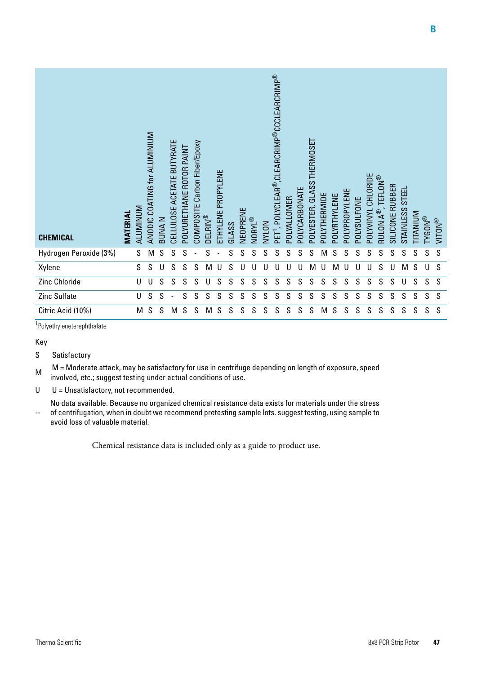| <b>CHEMICAL</b>        | <b>MATERIAL</b> | ALUMINUM | ANODIC COATING for ALUMINIUM | <b>BUNAN</b> | CELLULOSE ACETATE BUTYRATE | POLYURETHANE ROTOR PAINT | COMPOSITE Carbon Fiber/Epoxy | <b>DELRIN®</b> | ETHYLENE PROPYLENE | GLASS | VEOPRENE | NORYL® | NVLON | , POLYCLEAR®, CLEARCRIMP®CCCLEARCRIMP®<br>PET <sup>1</sup> | POLYALLOMER | POLYCARBONATE | POLYESTER, GLASS THERMOSET | POLYTHERMIDE | POLYRTHYLENE | POLYPROPYLENE | POLYSULFONE | POLYVINYL CHLORIDE | <b>TEFLON®</b><br>RULON $\mathsf{A}^\circledast$ | SILICONE RUBBER | <b>STEEL</b><br>STAINLESS | <b>TITANIUM</b> | <b>TYGON®</b> | <b>MULIN</b> |
|------------------------|-----------------|----------|------------------------------|--------------|----------------------------|--------------------------|------------------------------|----------------|--------------------|-------|----------|--------|-------|------------------------------------------------------------|-------------|---------------|----------------------------|--------------|--------------|---------------|-------------|--------------------|--------------------------------------------------|-----------------|---------------------------|-----------------|---------------|--------------|
| Hydrogen Peroxide (3%) |                 | S        | M                            | S            | S                          | S                        |                              | S              |                    | S     | S        | S      | S     | S                                                          | S           | S             | S                          | M            | S            | S             | S           | S                  | S                                                | S               | S                         | S               | S             | S            |
| Xylene                 |                 | S        | S                            | U            | S                          | S                        | S                            | M              | U                  | S     | U        | U      | U     | U                                                          | U           | U             | M                          | IJ           | M            | U             | U           | U                  | S                                                | U               | M                         | S               | U             | S            |
| Zinc Chloride          |                 | U        | U                            | S            | S                          | S                        | S                            | U              | S                  | S     | S        | S      | S     | S                                                          | S           | S             | S                          | S            | S            | S             | S           | S                  | S                                                | S               | U                         | S               | S             | <sub>S</sub> |
| Zinc Sulfate           |                 | U        | S                            | S            |                            | S                        | S                            | S              | S                  | S     | S        | S      | S     | S                                                          | S           | S             | S                          | S            | S            | S             | S           | S                  | S                                                | S               | S                         | S               | S             | S            |
| Citric Acid (10%)      |                 | M        | S                            | S            | M                          | S                        | S                            | M              | S                  | S     | S        | S      | S     | S                                                          | S           | S             | S                          | M            | S            | S             | S           | S                  | S                                                | S               | S                         | S               | S             | S            |

1 Polyethyleneterephthalate

Key

#### S Satisfactory

M = Moderate attack, may be satisfactory for use in centrifuge depending on length of exposure, speed involved, etc.; suggest testing under actual conditions of use.

U U = Unsatisfactory, not recommended.

-- No data available. Because no organized chemical resistance data exists for materials under the stress of centrifugation, when in doubt we recommend pretesting sample lots. suggest testing, using sample to avoid loss of valuable material.

Chemical resistance data is included only as a guide to product use.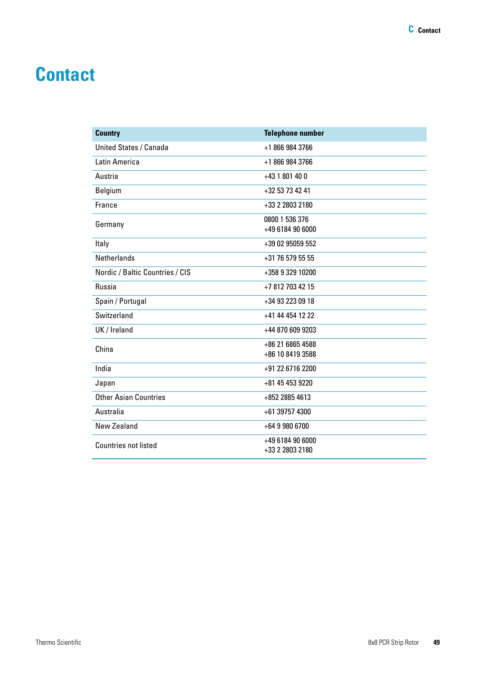# <span id="page-42-0"></span>**Contact**

| <b>Country</b>                  | <b>Telephone number</b>              |
|---------------------------------|--------------------------------------|
| <b>United States / Canada</b>   | +1 866 984 3766                      |
| Latin America                   | +1 866 984 3766                      |
| Austria                         | +43 1 801 40 0                       |
| Belgium                         | +32 53 73 42 41                      |
| France                          | +33 2 2803 2180                      |
| Germany                         | 0800 1 536 376<br>+49 6184 90 6000   |
| Italy                           | +39 02 95059 552                     |
| <b>Netherlands</b>              | +31 76 579 55 55                     |
| Nordic / Baltic Countries / CIS | +358 9 329 10200                     |
| Russia                          | +7 812 703 42 15                     |
| Spain / Portugal                | +34 93 223 09 18                     |
| Switzerland                     | +41 44 454 12 22                     |
| UK / Ireland                    | +44 870 609 9203                     |
| China                           | +86 21 6865 4588<br>+86 10 8419 3588 |
| India                           | +91 22 6716 2200                     |
| Japan                           | +81 45 453 9220                      |
| <b>Other Asian Countries</b>    | +852 2885 4613                       |
| Australia                       | +61 39757 4300                       |
| <b>New Zealand</b>              | $+6499806700$                        |
| <b>Countries not listed</b>     | +49 6184 90 6000<br>+33 2 2803 2180  |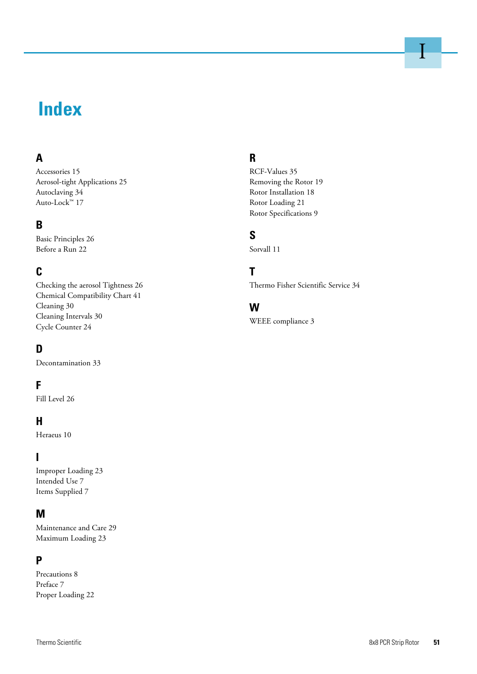# **Index**

### **A**

Accessories 15 Aerosol-tight Applications 25 Autoclaving 34 Auto-Lock™ 17

### **B**

Basic Principles 26 Before a Run 22

### **C**

Checking the aerosol Tightness 26 Chemical Compatibility Chart 41 Cleaning 30 Cleaning Intervals 30 Cycle Counter 24

### **D**

Decontamination 33

### **F**

Fill Level 26

### **H**

Heraeus 10

### **I**

Improper Loading 23 Intended Use 7 Items Supplied 7

### **M**

Maintenance and Care 29 Maximum Loading 23

#### **P**

Precautions 8 Preface 7 Proper Loading 22

### **R**

RCF-Values 35 Removing the Rotor 19 Rotor Installation 18 Rotor Loading 21 Rotor Specifications 9

### **S**

Sorvall 11

### **T**

Thermo Fisher Scientific Service 34

### **W**

WEEE compliance 3

I